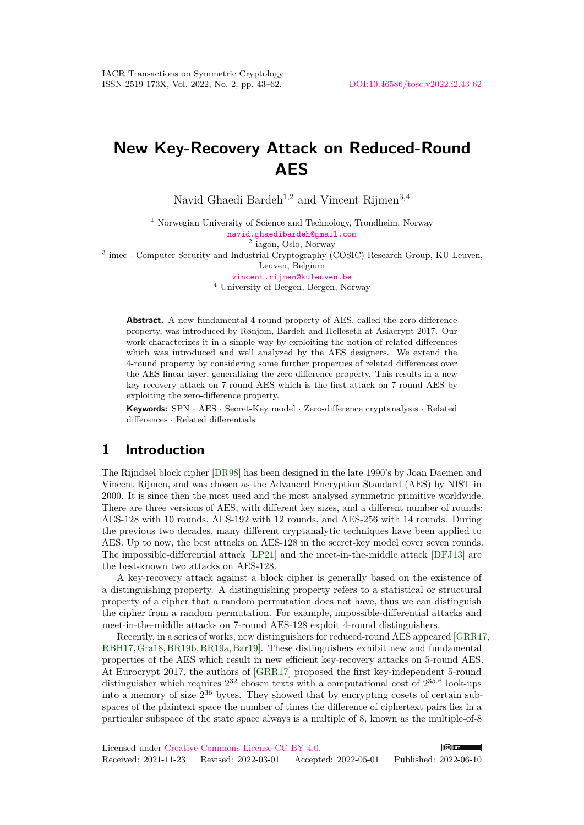# **New Key-Recovery Attack on Reduced-Round AES**

Navid Ghaedi Bardeh<sup>1,2</sup> and Vincent Rijmen<sup>3,4</sup>

<sup>1</sup> Norwegian University of Science and Technology, Trondheim, Norway [navid.ghaedibardeh@gmail.com](mailto:navid.ghaedibardeh@gmail.com)

2 iagon, Oslo, Norway

<sup>3</sup> imec - Computer Security and Industrial Cryptography (COSIC) Research Group, KU Leuven,

Leuven, Belgium

[vincent.rijmen@kuleuven.be](mailto:vincent.rijmen@kuleuven.be)

<sup>4</sup> University of Bergen, Bergen, Norway

**Abstract.** A new fundamental 4-round property of AES, called the zero-difference property, was introduced by Rønjom, Bardeh and Helleseth at Asiacrypt 2017. Our work characterizes it in a simple way by exploiting the notion of related differences which was introduced and well analyzed by the AES designers. We extend the 4-round property by considering some further properties of related differences over the AES linear layer, generalizing the zero-difference property. This results in a new key-recovery attack on 7-round AES which is the first attack on 7-round AES by exploiting the zero-difference property.

**Keywords:** SPN · AES · Secret-Key model · Zero-difference cryptanalysis · Related differences · Related differentials

### **1 Introduction**

The Rijndael block cipher [\[DR98\]](#page-17-0) has been designed in the late 1990's by Joan Daemen and Vincent Rijmen, and was chosen as the Advanced Encryption Standard (AES) by NIST in 2000. It is since then the most used and the most analysed symmetric primitive worldwide. There are three versions of AES, with different key sizes, and a different number of rounds: AES-128 with 10 rounds, AES-192 with 12 rounds, and AES-256 with 14 rounds. During the previous two decades, many different cryptanalytic techniques have been applied to AES. Up to now, the best attacks on AES-128 in the secret-key model cover seven rounds. The impossible-differential attack [\[LP21\]](#page-18-0) and the meet-in-the-middle attack [\[DFJ13\]](#page-17-1) are the best-known two attacks on AES-128.

A key-recovery attack against a block cipher is generally based on the existence of a distinguishing property. A distinguishing property refers to a statistical or structural property of a cipher that a random permutation does not have, thus we can distinguish the cipher from a random permutation. For example, impossible-differential attacks and meet-in-the-middle attacks on 7-round AES-128 exploit 4-round distinguishers.

Recently, in a series of works, new distinguishers for reduced-round AES appeared [\[GRR17,](#page-18-1) [RBH17,](#page-18-2)[Gra18,](#page-17-2)[BR19b,](#page-17-3)[BR19a,](#page-17-4)[Bar19\]](#page-16-0). These distinguishers exhibit new and fundamental properties of the AES which result in new efficient key-recovery attacks on 5-round AES. At Eurocrypt 2017, the authors of [\[GRR17\]](#page-18-1) proposed the first key-independent 5-round distinguisher which requires  $2^{32}$  chosen texts with a computational cost of  $2^{35.6}$  look-ups into a memory of size 2 <sup>36</sup> bytes. They showed that by encrypting cosets of certain subspaces of the plaintext space the number of times the difference of ciphertext pairs lies in a particular subspace of the state space always is a multiple of 8, known as the multiple-of-8

Licensed under [Creative Commons License CC-BY 4.0.](http://creativecommons.org/licenses/by/4.0/)  $\left($   $\right)$  BY Received: 2021-11-23 Revised: 2022-03-01 Accepted: 2022-05-01 Published: 2022-06-10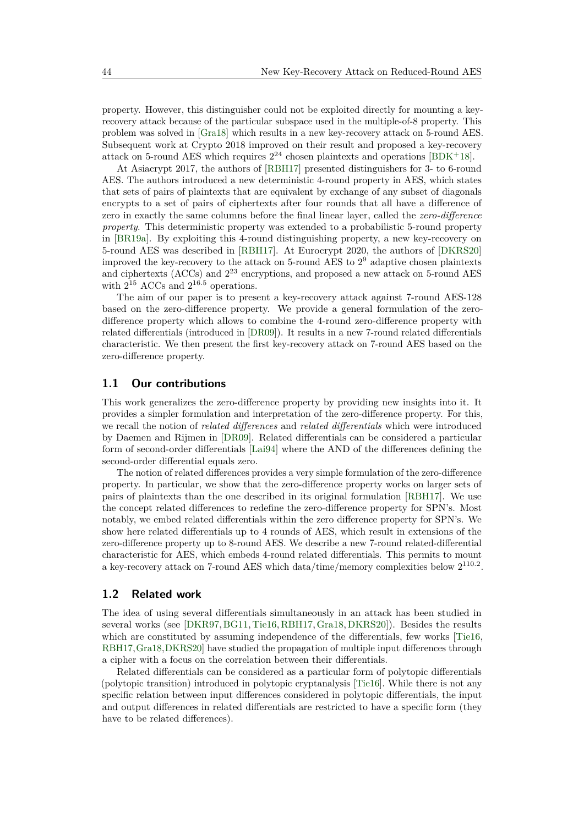property. However, this distinguisher could not be exploited directly for mounting a keyrecovery attack because of the particular subspace used in the multiple-of-8 property. This problem was solved in [\[Gra18\]](#page-17-2) which results in a new key-recovery attack on 5-round AES. Subsequent work at Crypto 2018 improved on their result and proposed a key-recovery attack on 5-round AES which requires  $2^{24}$  chosen plaintexts and operations [\[BDK](#page-16-1)+18].

At Asiacrypt 2017, the authors of [\[RBH17\]](#page-18-2) presented distinguishers for 3- to 6-round AES. The authors introduced a new deterministic 4-round property in AES, which states that sets of pairs of plaintexts that are equivalent by exchange of any subset of diagonals encrypts to a set of pairs of ciphertexts after four rounds that all have a difference of zero in exactly the same columns before the final linear layer, called the *zero-difference property*. This deterministic property was extended to a probabilistic 5-round property in [\[BR19a\]](#page-17-4). By exploiting this 4-round distinguishing property, a new key-recovery on 5-round AES was described in [\[RBH17\]](#page-18-2). At Eurocrypt 2020, the authors of [\[DKRS20\]](#page-17-5) improved the key-recovery to the attack on 5-round AES to 2 <sup>9</sup> adaptive chosen plaintexts and ciphertexts (ACCs) and 2 <sup>23</sup> encryptions, and proposed a new attack on 5-round AES with  $2^{15}$  ACCs and  $2^{16.5}$  operations.

The aim of our paper is to present a key-recovery attack against 7-round AES-128 based on the zero-difference property. We provide a general formulation of the zerodifference property which allows to combine the 4-round zero-difference property with related differentials (introduced in [\[DR09\]](#page-17-6)). It results in a new 7-round related differentials characteristic. We then present the first key-recovery attack on 7-round AES based on the zero-difference property.

#### **1.1 Our contributions**

This work generalizes the zero-difference property by providing new insights into it. It provides a simpler formulation and interpretation of the zero-difference property. For this, we recall the notion of *related differences* and *related differentials* which were introduced by Daemen and Rijmen in [\[DR09\]](#page-17-6). Related differentials can be considered a particular form of second-order differentials [\[Lai94\]](#page-18-3) where the AND of the differences defining the second-order differential equals zero.

The notion of related differences provides a very simple formulation of the zero-difference property. In particular, we show that the zero-difference property works on larger sets of pairs of plaintexts than the one described in its original formulation [\[RBH17\]](#page-18-2). We use the concept related differences to redefine the zero-difference property for SPN's. Most notably, we embed related differentials within the zero difference property for SPN's. We show here related differentials up to 4 rounds of AES, which result in extensions of the zero-difference property up to 8-round AES. We describe a new 7-round related-differential characteristic for AES, which embeds 4-round related differentials. This permits to mount a key-recovery attack on 7-round AES which data/time/memory complexities below  $2^{110.2}$ .

#### **1.2 Related work**

The idea of using several differentials simultaneously in an attack has been studied in several works (see [\[DKR97,](#page-17-7)[BG11,](#page-17-8)[Tie16,](#page-18-4)[RBH17,](#page-18-2)[Gra18,](#page-17-2)[DKRS20\]](#page-17-5)). Besides the results which are constituted by assuming independence of the differentials, few works [\[Tie16,](#page-18-4) [RBH17,](#page-18-2)[Gra18,](#page-17-2)[DKRS20\]](#page-17-5) have studied the propagation of multiple input differences through a cipher with a focus on the correlation between their differentials.

Related differentials can be considered as a particular form of polytopic differentials (polytopic transition) introduced in polytopic cryptanalysis [\[Tie16\]](#page-18-4). While there is not any specific relation between input differences considered in polytopic differentials, the input and output differences in related differentials are restricted to have a specific form (they have to be related differences).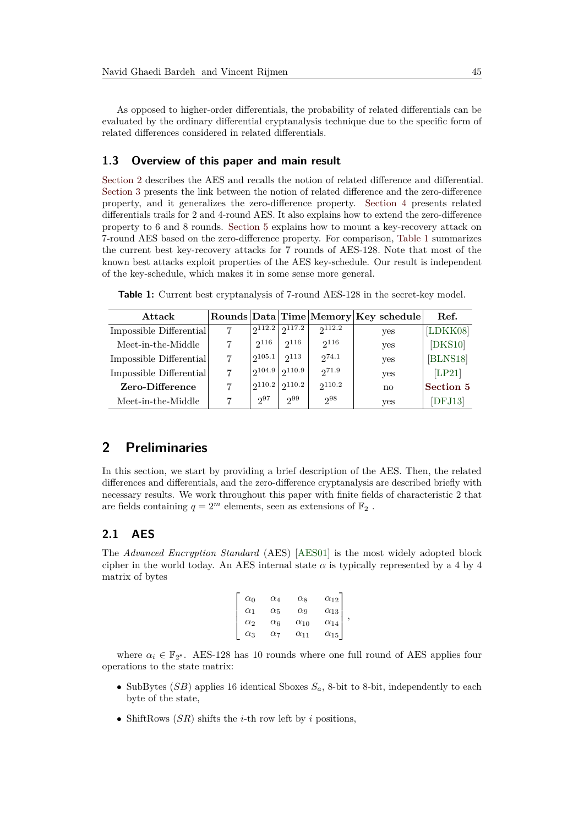As opposed to higher-order differentials, the probability of related differentials can be evaluated by the ordinary differential cryptanalysis technique due to the specific form of related differences considered in related differentials.

#### **1.3 Overview of this paper and main result**

[Section 2](#page-2-0) describes the AES and recalls the notion of related difference and differential. [Section 3](#page-5-0) presents the link between the notion of related difference and the zero-difference property, and it generalizes the zero-difference property. [Section 4](#page-7-0) presents related differentials trails for 2 and 4-round AES. It also explains how to extend the zero-difference property to 6 and 8 rounds. [Section 5](#page-12-0) explains how to mount a key-recovery attack on 7-round AES based on the zero-difference property. For comparison, [Table 1](#page-2-1) summarizes the current best key-recovery attacks for 7 rounds of AES-128. Note that most of the known best attacks exploit properties of the AES key-schedule. Our result is independent of the key-schedule, which makes it in some sense more general.

<span id="page-2-1"></span>

|  |  |  |  |  |  |  |  | Table 1: Current best cryptanalysis of 7-round AES-128 in the secret-key model. |  |  |
|--|--|--|--|--|--|--|--|---------------------------------------------------------------------------------|--|--|
|--|--|--|--|--|--|--|--|---------------------------------------------------------------------------------|--|--|

| Attack                  |             |           |           | Rounds   Data   Time   Memory   Key schedule | Ref.      |
|-------------------------|-------------|-----------|-----------|----------------------------------------------|-----------|
| Impossible Differential | 2112.2      | 2117.2    | 2112.2    | yes                                          | [LDKK08]  |
| Meet-in-the-Middle      | $2^{116}$   | $2^{116}$ | $2^{116}$ | yes                                          | [DKS10]   |
| Impossible Differential | 2105.1      | 2113      | 274.1     | yes                                          | [BLNS18]  |
| Impossible Differential | 2104.9      | 2110.9    | 271.9     | yes                                          | [LP21]    |
| Zero-Difference         | $2^{110.2}$ | 2110.2    | 2110.2    | no                                           | Section 5 |
| Meet-in-the-Middle      | $2^{97}$    | 299       | $2^{98}$  | yes                                          | [DFJ13]   |

### <span id="page-2-0"></span>**2 Preliminaries**

In this section, we start by providing a brief description of the AES. Then, the related differences and differentials, and the zero-difference cryptanalysis are described briefly with necessary results. We work throughout this paper with finite fields of characteristic 2 that are fields containing  $q=2^m$  elements, seen as extensions of  $\mathbb{F}_2$  .

### **2.1 AES**

The *Advanced Encryption Standard* (AES) [\[AES01\]](#page-16-2) is the most widely adopted block cipher in the world today. An AES internal state  $\alpha$  is typically represented by a 4 by 4 matrix of bytes

| $\alpha_0$ | $\alpha_4$    | $\alpha$ <sub>8</sub> | $\alpha_{12}$ |  |
|------------|---------------|-----------------------|---------------|--|
| $\alpha_1$ | $\alpha_5$    | $\alpha$ <sup>9</sup> | $\alpha_{13}$ |  |
| $\alpha_2$ | $\alpha_6$    | $\alpha_{10}$         | $\alpha_{14}$ |  |
| $\alpha_3$ | $_{\alpha_7}$ | $\alpha_{11}$         | $\alpha_{15}$ |  |

where  $\alpha_i \in \mathbb{F}_{2^8}$ . AES-128 has 10 rounds where one full round of AES applies four operations to the state matrix:

- SubBytes  $(SB)$  applies 16 identical Sboxes  $S_a$ , 8-bit to 8-bit, independently to each byte of the state,
- ShiftRows (*SR*) shifts the *i*-th row left by *i* positions,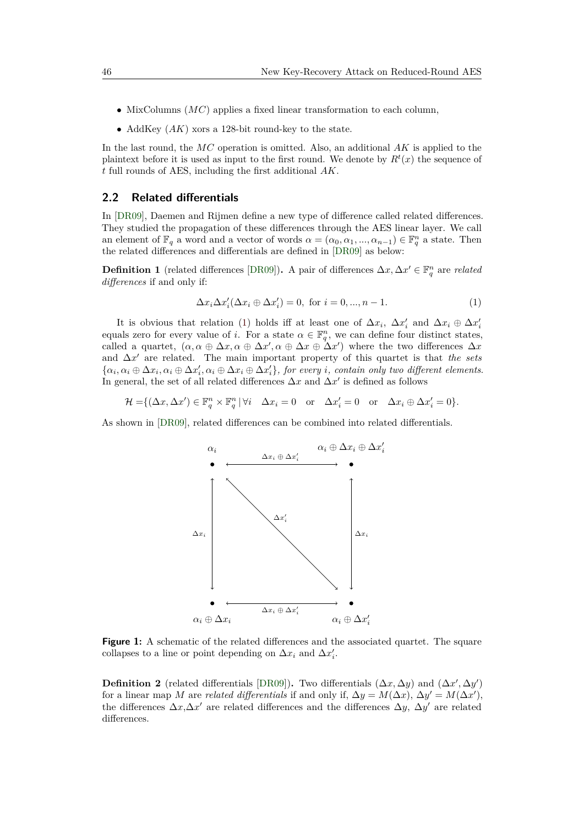- MixColumns (*MC*) applies a fixed linear transformation to each column,
- AddKey (*AK*) xors a 128-bit round-key to the state.

In the last round, the *MC* operation is omitted. Also, an additional *AK* is applied to the plaintext before it is used as input to the first round. We denote by  $R^t(x)$  the sequence of *t* full rounds of AES, including the first additional *AK*.

#### <span id="page-3-1"></span>**2.2 Related differentials**

In [\[DR09\]](#page-17-6), Daemen and Rijmen define a new type of difference called related differences. They studied the propagation of these differences through the AES linear layer. We call an element of  $\mathbb{F}_q$  a word and a vector of words  $\alpha = (\alpha_0, \alpha_1, ..., \alpha_{n-1}) \in \mathbb{F}_q^n$  a state. Then the related differences and differentials are defined in [\[DR09\]](#page-17-6) as below:

**Definition 1** (related differences [\[DR09\]](#page-17-6)). A pair of differences  $\Delta x, \Delta x' \in \mathbb{F}_q^n$  are *related differences* if and only if:

<span id="page-3-0"></span>
$$
\Delta x_i \Delta x_i' (\Delta x_i \oplus \Delta x_i') = 0, \text{ for } i = 0, ..., n-1.
$$
 (1)

It is obvious that relation [\(1\)](#page-3-0) holds iff at least one of  $\Delta x_i$ ,  $\Delta x'_i$  and  $\Delta x_i \oplus \Delta x'_i$ equals zero for every value of *i*. For a state  $\alpha \in \mathbb{F}_q^n$ , we can define four distinct states, called a quartet,  $(\alpha, \alpha \oplus \Delta x, \alpha \oplus \Delta x', \alpha \oplus \Delta x \oplus \Delta x')$  where the two differences  $\Delta x$ and  $\Delta x'$  are related. The main important property of this quartet is that *the sets*  $\{\alpha_i, \alpha_i \oplus \Delta x_i, \alpha_i \oplus \Delta x'_i, \alpha_i \oplus \Delta x_i \oplus \Delta x'_i\}$ , for every i, contain only two different elements. In general, the set of all related differences  $\Delta x$  and  $\Delta x'$  is defined as follows

 $\mathcal{H} = \{ (\Delta x, \Delta x') \in \mathbb{F}_q^n \times \mathbb{F}_q^n \mid \forall i \quad \Delta x_i = 0 \quad \text{or} \quad \Delta x'_i = 0 \quad \text{or} \quad \Delta x_i \oplus \Delta x'_i = 0 \}.$ 

As shown in [\[DR09\]](#page-17-6), related differences can be combined into related differentials.



**Figure 1:** A schematic of the related differences and the associated quartet. The square collapses to a line or point depending on  $\Delta x_i$  and  $\Delta x'_i$ .

**Definition 2** (related differentials [\[DR09\]](#page-17-6)). Two differentials  $(\Delta x, \Delta y)$  and  $(\Delta x', \Delta y')$ for a linear map *M* are *related differentials* if and only if,  $\Delta y = M(\Delta x)$ ,  $\Delta y' = M(\Delta x')$ , the differences  $\Delta x, \Delta x'$  are related differences and the differences  $\Delta y, \Delta y'$  are related differences.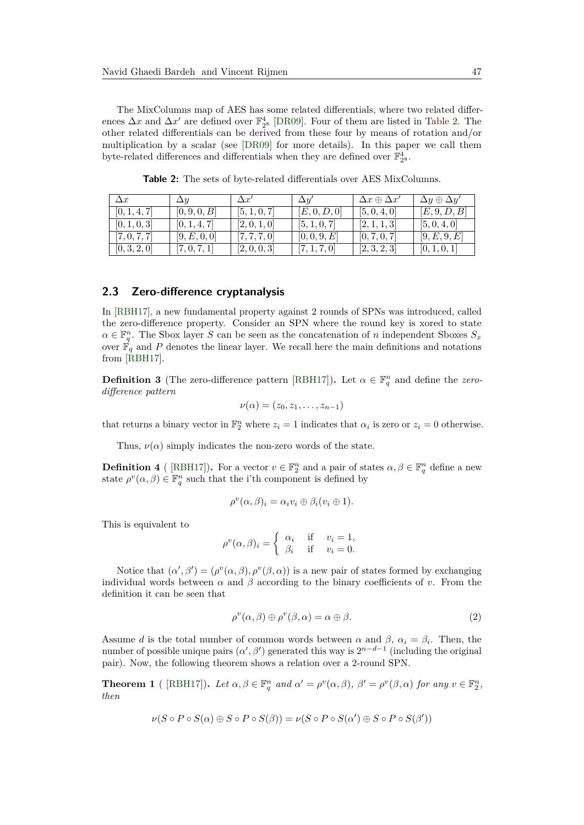The MixColumns map of AES has some related differentials, where two related differences  $\Delta x$  and  $\Delta x'$  are defined over  $\mathbb{F}_{2^8}^4$  [\[DR09\]](#page-17-6). Four of them are listed in [Table 2.](#page-4-0) The other related differentials can be derived from these four by means of rotation and/or multiplication by a scalar (see [\[DR09\]](#page-17-6) for more details). In this paper we call them byte-related differences and differentials when they are defined over  $\mathbb{F}_{2^8}^4.$ 

<span id="page-4-0"></span>

| $\Delta x$   | $\Delta y$             | $\Delta x'$  | $\Delta y$   | $\Delta x \oplus \Delta x'$ | $\Delta y \oplus \Delta y'$ |
|--------------|------------------------|--------------|--------------|-----------------------------|-----------------------------|
| [0, 1, 4, 7] | [0, 9, 0, B]           | [5, 1, 0, 7] | [E,0,D,0]    | [5, 0, 4, 0]                | [E, 9, D, B]                |
| [0, 1, 0, 3] | [0, 1, 4, 7]           | [2,0,1,0]    | [5, 1, 0, 7] | [2,1,1,3]                   | [5, 0, 4, 0]                |
| [7, 0, 7, 7] | [9, E, 0, 0]           | [7, 7, 7, 0] | [0, 0, 9, E] | [0, 7, 0, 7]                | [9, E, 9, E]                |
| [0, 3, 2, 0] | $\left[7,0,7,1\right]$ | [2,0,0,3]    | [7, 1, 7, 0] | [2,3,2,3]                   | [0, 1, 0, 1]                |

**Table 2:** The sets of byte-related differentials over AES MixColumns.

#### <span id="page-4-2"></span>**2.3 Zero-difference cryptanalysis**

In [\[RBH17\]](#page-18-2), a new fundamental property against 2 rounds of SPNs was introduced, called the zero-difference property. Consider an SPN where the round key is xored to state  $\alpha \in \mathbb{F}_q^n$ . The Sbox layer *S* can be seen as the concatenation of *n* independent Sboxes  $S_x$ over  $\mathbb{F}_q$  and P denotes the linear layer. We recall here the main definitions and notations from [\[RBH17\]](#page-18-2).

**Definition 3** (The zero-difference pattern [\[RBH17\]](#page-18-2)). Let  $\alpha \in \mathbb{F}_q^n$  and define the *zerodifference pattern*

$$
\nu(\alpha)=(z_0,z_1,\ldots,z_{n-1})
$$

that returns a binary vector in  $\mathbb{F}_2^n$  where  $z_i = 1$  indicates that  $\alpha_i$  is zero or  $z_i = 0$  otherwise.

Thus,  $\nu(\alpha)$  simply indicates the non-zero words of the state.

<span id="page-4-3"></span>**Definition 4** ([\[RBH17\]](#page-18-2)). For a vector  $v \in \mathbb{F}_2^n$  and a pair of states  $\alpha, \beta \in \mathbb{F}_q^n$  define a new state  $\rho^v(\alpha, \beta) \in \mathbb{F}_q^n$  such that the i'th component is defined by

$$
\rho^v(\alpha,\beta)_i = \alpha_i v_i \oplus \beta_i (v_i \oplus 1).
$$

This is equivalent to

$$
\rho^v(\alpha,\beta)_i = \begin{cases} \alpha_i & \text{if } v_i = 1, \\ \beta_i & \text{if } v_i = 0. \end{cases}
$$

Notice that  $(\alpha', \beta') = (\rho^v(\alpha, \beta), \rho^v(\beta, \alpha))$  is a new pair of states formed by exchanging individual words between  $\alpha$  and  $\beta$  according to the binary coefficients of *v*. From the definition it can be seen that

$$
\rho^v(\alpha, \beta) \oplus \rho^v(\beta, \alpha) = \alpha \oplus \beta. \tag{2}
$$

Assume *d* is the total number of common words between  $\alpha$  and  $\beta$ ,  $\alpha_i = \beta_i$ . Then, the number of possible unique pairs  $(\alpha', \beta')$  generated this way is  $2^{n-d-1}$  (including the original pair). Now, the following theorem shows a relation over a 2-round SPN.

<span id="page-4-1"></span>**Theorem 1** ([\[RBH17\]](#page-18-2)). Let  $\alpha, \beta \in \mathbb{F}_q^n$  and  $\alpha' = \rho^v(\alpha, \beta)$ ,  $\beta' = \rho^v(\beta, \alpha)$  for any  $v \in \mathbb{F}_2^n$ , *then*

$$
\nu(S \circ P \circ S(\alpha) \oplus S \circ P \circ S(\beta)) = \nu(S \circ P \circ S(\alpha') \oplus S \circ P \circ S(\beta'))
$$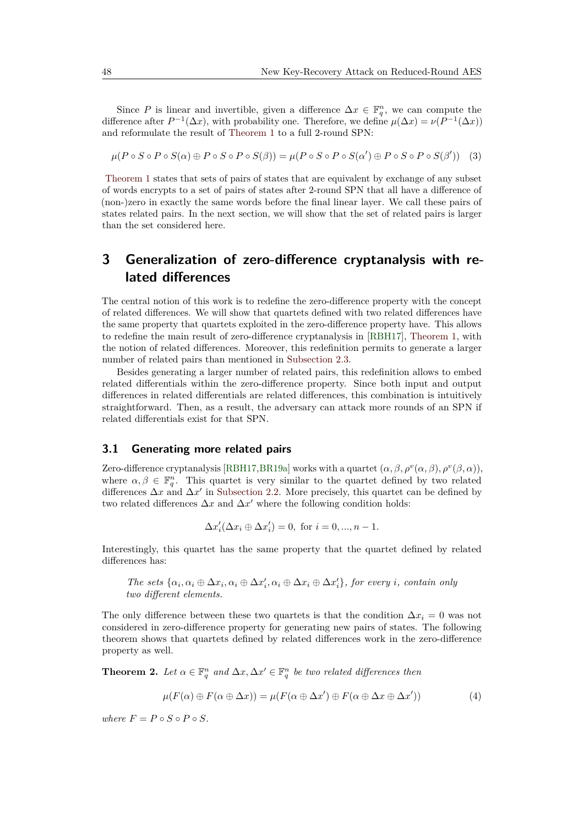Since P is linear and invertible, given a difference  $\Delta x \in \mathbb{F}_q^n$ , we can compute the difference after  $P^{-1}(\Delta x)$ , with probability one. Therefore, we define  $\mu(\Delta x) = \nu(P^{-1}(\Delta x))$ and reformulate the result of [Theorem 1](#page-4-1) to a full 2-round SPN:

$$
\mu(P \circ S \circ P \circ S(\alpha) \oplus P \circ S \circ P \circ S(\beta)) = \mu(P \circ S \circ P \circ S(\alpha') \oplus P \circ S \circ P \circ S(\beta')) \quad (3)
$$

[Theorem 1](#page-4-1) states that sets of pairs of states that are equivalent by exchange of any subset of words encrypts to a set of pairs of states after 2-round SPN that all have a difference of (non-)zero in exactly the same words before the final linear layer. We call these pairs of states related pairs. In the next section, we will show that the set of related pairs is larger than the set considered here.

# <span id="page-5-0"></span>**3 Generalization of zero-difference cryptanalysis with related differences**

The central notion of this work is to redefine the zero-difference property with the concept of related differences. We will show that quartets defined with two related differences have the same property that quartets exploited in the zero-difference property have. This allows to redefine the main result of zero-difference cryptanalysis in [\[RBH17\]](#page-18-2), [Theorem 1,](#page-4-1) with the notion of related differences. Moreover, this redefinition permits to generate a larger number of related pairs than mentioned in [Subsection 2.3.](#page-4-2)

Besides generating a larger number of related pairs, this redefinition allows to embed related differentials within the zero-difference property. Since both input and output differences in related differentials are related differences, this combination is intuitively straightforward. Then, as a result, the adversary can attack more rounds of an SPN if related differentials exist for that SPN.

#### **3.1 Generating more related pairs**

Zero-difference cryptanalysis [\[RBH17,](#page-18-2)[BR19a\]](#page-17-4) works with a quartet  $(\alpha, \beta, \rho^v(\alpha, \beta), \rho^v(\beta, \alpha))$ , where  $\alpha, \beta \in \mathbb{F}_q^n$ . This quartet is very similar to the quartet defined by two related differences  $\Delta x$  and  $\Delta x'$  in [Subsection 2.2.](#page-3-1) More precisely, this quartet can be defined by two related differences  $\Delta x$  and  $\Delta x'$  where the following condition holds:

<span id="page-5-2"></span>
$$
\Delta x_i'(\Delta x_i \oplus \Delta x_i') = 0, \text{ for } i = 0, ..., n-1.
$$

Interestingly, this quartet has the same property that the quartet defined by related differences has:

The sets  $\{\alpha_i, \alpha_i \oplus \Delta x_i, \alpha_i \oplus \Delta x'_i, \alpha_i \oplus \Delta x_i \oplus \Delta x'_i\}$ , for every *i*, contain only *two different elements.*

The only difference between these two quartets is that the condition  $\Delta x_i = 0$  was not considered in zero-difference property for generating new pairs of states. The following theorem shows that quartets defined by related differences work in the zero-difference property as well.

<span id="page-5-1"></span>**Theorem 2.** Let  $\alpha \in \mathbb{F}_q^n$  and  $\Delta x, \Delta x' \in \mathbb{F}_q^n$  be two related differences then

$$
\mu(F(\alpha) \oplus F(\alpha \oplus \Delta x)) = \mu(F(\alpha \oplus \Delta x') \oplus F(\alpha \oplus \Delta x \oplus \Delta x')) \tag{4}
$$

*where*  $F = P \circ S \circ P \circ S$ *.*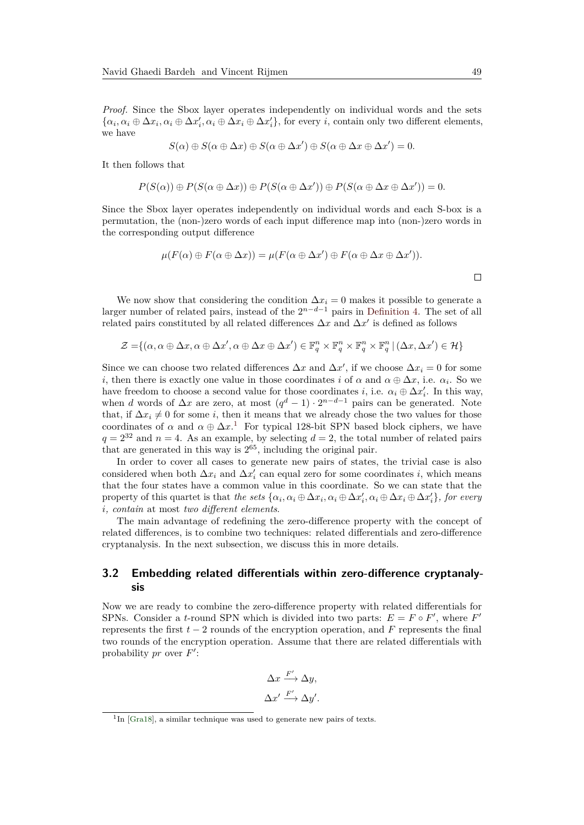*Proof.* Since the Sbox layer operates independently on individual words and the sets  $\{\alpha_i, \alpha_i \oplus \Delta x_i, \alpha_i \oplus \Delta x'_i, \alpha_i \oplus \Delta x_i \oplus \Delta x'_i\}$ , for every *i*, contain only two different elements, we have

$$
S(\alpha) \oplus S(\alpha \oplus \Delta x) \oplus S(\alpha \oplus \Delta x') \oplus S(\alpha \oplus \Delta x \oplus \Delta x') = 0.
$$

It then follows that

$$
P(S(\alpha)) \oplus P(S(\alpha \oplus \Delta x)) \oplus P(S(\alpha \oplus \Delta x')) \oplus P(S(\alpha \oplus \Delta x \oplus \Delta x')) = 0.
$$

Since the Sbox layer operates independently on individual words and each S-box is a permutation, the (non-)zero words of each input difference map into (non-)zero words in the corresponding output difference

$$
\mu(F(\alpha) \oplus F(\alpha \oplus \Delta x)) = \mu(F(\alpha \oplus \Delta x') \oplus F(\alpha \oplus \Delta x \oplus \Delta x')).
$$

We now show that considering the condition  $\Delta x_i = 0$  makes it possible to generate a larger number of related pairs, instead of the  $2^{n-d-1}$  pairs in [Definition 4.](#page-4-3) The set of all related pairs constituted by all related differences  $\Delta x$  and  $\Delta x'$  is defined as follows

$$
\mathcal{Z} = \{ (\alpha, \alpha \oplus \Delta x, \alpha \oplus \Delta x', \alpha \oplus \Delta x \oplus \Delta x') \in \mathbb{F}_q^n \times \mathbb{F}_q^n \times \mathbb{F}_q^n \times \mathbb{F}_q^n \mid (\Delta x, \Delta x') \in \mathcal{H} \}
$$

Since we can choose two related differences  $\Delta x$  and  $\Delta x'$ , if we choose  $\Delta x_i = 0$  for some *i*, then there is exactly one value in those coordinates *i* of *α* and  $\alpha \oplus \Delta x$ , i.e.  $\alpha_i$ . So we have freedom to choose a second value for those coordinates *i*, i.e.  $\alpha_i \oplus \Delta x_i'$ . In this way, when *d* words of  $\Delta x$  are zero, at most  $(q^d - 1) \cdot 2^{n-d-1}$  pairs can be generated. Note that, if  $\Delta x_i \neq 0$  for some *i*, then it means that we already chose the two values for those coordinates of  $\alpha$  and  $\alpha \oplus \Delta x$ .<sup>[1](#page-6-0)</sup> For typical 128-bit SPN based block ciphers, we have  $q = 2^{32}$  and  $n = 4$ . As an example, by selecting  $d = 2$ , the total number of related pairs that are generated in this way is  $2^{65}$ , including the original pair.

In order to cover all cases to generate new pairs of states, the trivial case is also considered when both  $\Delta x_i$  and  $\Delta x'_i$  can equal zero for some coordinates *i*, which means that the four states have a common value in this coordinate. So we can state that the property of this quartet is that the sets  $\{\alpha_i, \alpha_i \oplus \Delta x_i, \alpha_i \oplus \Delta x'_i, \alpha_i \oplus \Delta x_i \oplus \Delta x'_i\}$ , for every *i, contain* at most *two different elements*.

The main advantage of redefining the zero-difference property with the concept of related differences, is to combine two techniques: related differentials and zero-difference cryptanalysis. In the next subsection, we discuss this in more details.

### **3.2 Embedding related differentials within zero-difference cryptanalysis**

Now we are ready to combine the zero-difference property with related differentials for SPNs. Consider a *t*-round SPN which is divided into two parts:  $E = F \circ F'$ , where  $F'$ represents the first *t* − 2 rounds of the encryption operation, and *F* represents the final two rounds of the encryption operation. Assume that there are related differentials with probability  $pr$  over  $F'$ :

$$
\Delta x \xrightarrow{F'} \Delta y,
$$
  

$$
\Delta x' \xrightarrow{F'} \Delta y'.
$$

<span id="page-6-0"></span><sup>&</sup>lt;sup>1</sup>In [\[Gra18\]](#page-17-2), a similar technique was used to generate new pairs of texts.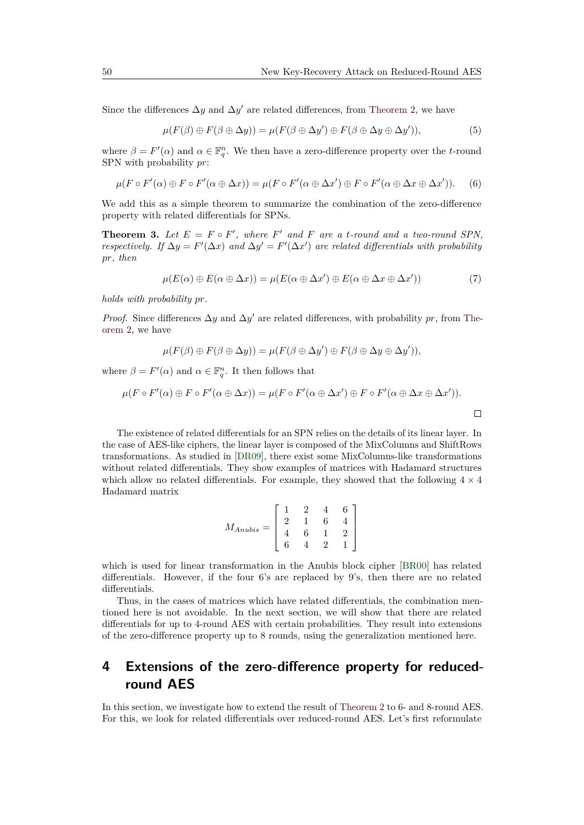Since the differences  $\Delta y$  and  $\Delta y'$  are related differences, from [Theorem 2,](#page-5-1) we have

$$
\mu(F(\beta) \oplus F(\beta \oplus \Delta y)) = \mu(F(\beta \oplus \Delta y') \oplus F(\beta \oplus \Delta y \oplus \Delta y')), \tag{5}
$$

where  $\beta = F'(\alpha)$  and  $\alpha \in \mathbb{F}_q^n$ . We then have a zero-difference property over the *t*-round SPN with probability *pr*:

$$
\mu(F \circ F'(\alpha) \oplus F \circ F'(\alpha \oplus \Delta x)) = \mu(F \circ F'(\alpha \oplus \Delta x') \oplus F \circ F'(\alpha \oplus \Delta x \oplus \Delta x')). \tag{6}
$$

We add this as a simple theorem to summarize the combination of the zero-difference property with related differentials for SPNs.

**Theorem 3.** Let  $E = F \circ F'$ , where  $F'$  and  $F$  are a *t*-round and a two-round SPN, *respectively.* If  $\Delta y = F'(\Delta x)$  and  $\Delta y' = F'(\Delta x')$  are related differentials with probability *pr, then*

$$
\mu(E(\alpha) \oplus E(\alpha \oplus \Delta x)) = \mu(E(\alpha \oplus \Delta x') \oplus E(\alpha \oplus \Delta x \oplus \Delta x')) \tag{7}
$$

*holds with probability pr.*

*Proof.* Since differences  $\Delta y$  and  $\Delta y'$  are related differences, with probability *pr*, from [The](#page-5-1)[orem 2,](#page-5-1) we have

$$
\mu(F(\beta) \oplus F(\beta \oplus \Delta y)) = \mu(F(\beta \oplus \Delta y') \oplus F(\beta \oplus \Delta y \oplus \Delta y')),
$$

where  $\beta = F'(\alpha)$  and  $\alpha \in \mathbb{F}_q^n$ . It then follows that

$$
\mu(F \circ F'(\alpha) \oplus F \circ F'(\alpha \oplus \Delta x)) = \mu(F \circ F'(\alpha \oplus \Delta x') \oplus F \circ F'(\alpha \oplus \Delta x \oplus \Delta x')).
$$

The existence of related differentials for an SPN relies on the details of its linear layer. In the case of AES-like ciphers, the linear layer is composed of the MixColumns and ShiftRows transformations. As studied in [\[DR09\]](#page-17-6), there exist some MixColumns-like transformations without related differentials. They show examples of matrices with Hadamard structures which allow no related differentials. For example, they showed that the following  $4 \times 4$ Hadamard matrix

$$
M_{Anubis} = \left[ \begin{array}{rrrr} 1 & 2 & 4 & 6 \\ 2 & 1 & 6 & 4 \\ 4 & 6 & 1 & 2 \\ 6 & 4 & 2 & 1 \end{array} \right]
$$

which is used for linear transformation in the Anubis block cipher [\[BR00\]](#page-17-11) has related differentials. However, if the four 6's are replaced by 9's, then there are no related differentials.

Thus, in the cases of matrices which have related differentials, the combination mentioned here is not avoidable. In the next section, we will show that there are related differentials for up to 4-round AES with certain probabilities. They result into extensions of the zero-difference property up to 8 rounds, using the generalization mentioned here.

## <span id="page-7-0"></span>**4 Extensions of the zero-difference property for reducedround AES**

In this section, we investigate how to extend the result of [Theorem 2](#page-5-1) to 6- and 8-round AES. For this, we look for related differentials over reduced-round AES. Let's first reformulate

 $\Box$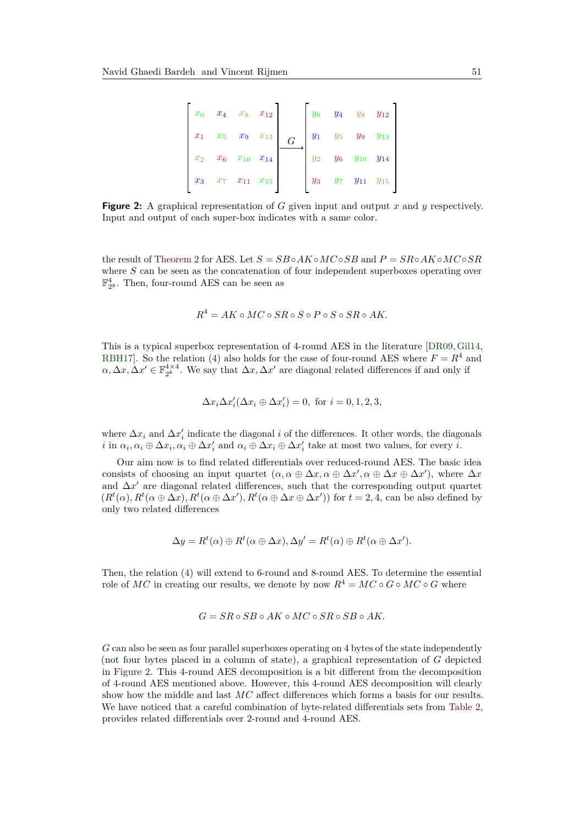<span id="page-8-0"></span>

|  |                               | $x_0$ $x_4$ $x_8$ $x_{12}$ |                                                           |  | $y_0$ $y_4$ $y_8$ $y_{12}$    |  |
|--|-------------------------------|----------------------------|-----------------------------------------------------------|--|-------------------------------|--|
|  |                               |                            | $x_1$ $x_5$ $x_9$ $x_{13}$ $G$ $y_1$ $y_5$ $y_9$ $y_{13}$ |  |                               |  |
|  | $x_2$ $x_6$ $x_{10}$ $x_{14}$ |                            |                                                           |  | $y_2$ $y_6$ $y_{10}$ $y_{14}$ |  |
|  |                               | $x_3-x_7-x_{11}-x_{15}$    |                                                           |  | $y_3$ $y_7$ $y_{11}$ $y_{15}$ |  |

**Figure 2:** A graphical representation of *G* given input and output *x* and *y* respectively. Input and output of each super-box indicates with a same color.

the result of [Theorem 2](#page-5-1) for AES. Let  $S = SB \circ AK \circ MC \circ SB$  and  $P = SR \circ AK \circ MC \circ SR$ where *S* can be seen as the concatenation of four independent superboxes operating over  $\mathbb{F}_{2^8}^4$ . Then, four-round AES can be seen as

$$
R^4 = AK \circ MC \circ SR \circ S \circ P \circ S \circ SR \circ AK.
$$

This is a typical superbox representation of 4-round AES in the literature [\[DR09,](#page-17-6)[Gil14,](#page-17-12) [RBH17\]](#page-18-2). So the relation [\(4\)](#page-5-2) also holds for the case of four-round AES where  $F = R<sup>4</sup>$  and  $\alpha, \Delta x, \Delta x' \in \mathbb{F}_{2^8}^{4 \times 4}$ . We say that  $\Delta x, \Delta x'$  are diagonal related differences if and only if

$$
\Delta x_i \Delta x_i' (\Delta x_i \oplus \Delta x_i') = 0, \text{ for } i = 0, 1, 2, 3,
$$

where  $\Delta x_i$  and  $\Delta x_i'$  indicate the diagonal *i* of the differences. It other words, the diagonals *i* in  $\alpha_i, \alpha_i \oplus \Delta x_i, \alpha_i \oplus \Delta x'_i$  and  $\alpha_i \oplus \Delta x_i \oplus \Delta x'_i$  take at most two values, for every *i*.

Our aim now is to find related differentials over reduced-round AES. The basic idea consists of choosing an input quartet  $(\alpha, \alpha \oplus \Delta x, \alpha \oplus \Delta x', \alpha \oplus \Delta x \oplus \Delta x')$ , where  $\Delta x$ and  $\Delta x'$  are diagonal related differences, such that the corresponding output quartet  $(R^t(\alpha), R^t(\alpha \oplus \Delta x), R^t(\alpha \oplus \Delta x'), R^t(\alpha \oplus \Delta x \oplus \Delta x')$  for  $t = 2, 4$ , can be also defined by only two related differences

$$
\Delta y = R^t(\alpha) \oplus R^t(\alpha \oplus \Delta x), \Delta y' = R^t(\alpha) \oplus R^t(\alpha \oplus \Delta x').
$$

Then, the relation [\(4\)](#page-5-2) will extend to 6-round and 8-round AES. To determine the essential role of *MC* in creating our results, we denote by now  $R^4 = MC \circ G \circ MC \circ G$  where

$$
G = SR \circ SB \circ AK \circ MC \circ SR \circ SB \circ AK.
$$

*G* can also be seen as four parallel superboxes operating on 4 bytes of the state independently (not four bytes placed in a column of state), a graphical representation of *G* depicted in [Figure 2.](#page-8-0) This 4-round AES decomposition is a bit different from the decomposition of 4-round AES mentioned above. However, this 4-round AES decomposition will clearly show how the middle and last *MC* affect differences which forms a basis for our results. We have noticed that a careful combination of byte-related differentials sets from [Table 2,](#page-4-0) provides related differentials over 2-round and 4-round AES.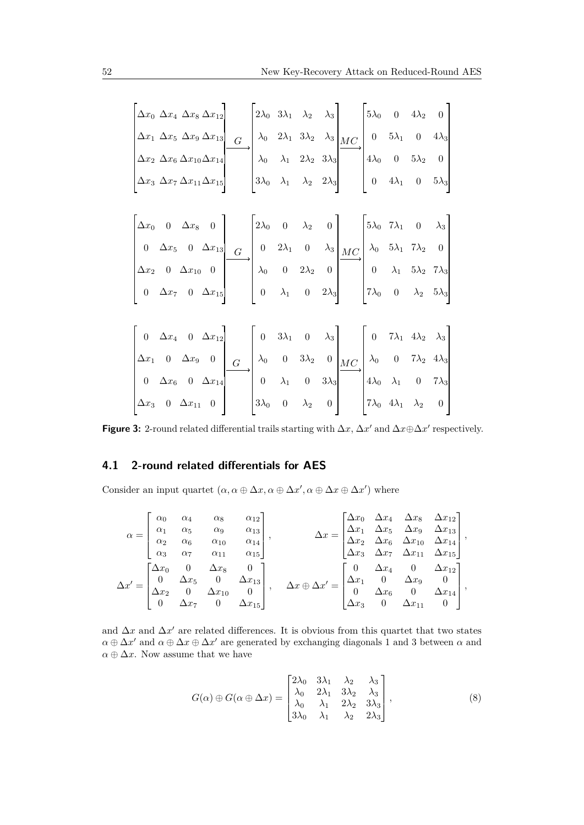<span id="page-9-1"></span>

| $\Delta x_0 \ \Delta x_4 \ \Delta x_8 \ \Delta x_{12}$                                                                                                                                                                                                                                                                                                                                                                                                                      |  |  | $\begin{vmatrix} 2\lambda_0 & 3\lambda_1 & \lambda_2 & \lambda_3 \end{vmatrix}$ | $\begin{bmatrix} 5\lambda_0 & 0 & 4\lambda_2 & 0 \end{bmatrix}$ |  |
|-----------------------------------------------------------------------------------------------------------------------------------------------------------------------------------------------------------------------------------------------------------------------------------------------------------------------------------------------------------------------------------------------------------------------------------------------------------------------------|--|--|---------------------------------------------------------------------------------|-----------------------------------------------------------------|--|
|                                                                                                                                                                                                                                                                                                                                                                                                                                                                             |  |  |                                                                                 |                                                                 |  |
|                                                                                                                                                                                                                                                                                                                                                                                                                                                                             |  |  |                                                                                 |                                                                 |  |
| $\begin{bmatrix} \Delta x_1 & \Delta x_5 & \Delta x_9 & \Delta x_{13} \\ \Delta x_2 & \Delta x_6 & \Delta x_{10} \Delta x_{14} \\ \Delta x_3 & \Delta x_7 & \Delta x_{11} \Delta x_{15} \end{bmatrix}$ $\begin{bmatrix} \lambda_0 & 2\lambda_1 & 3\lambda_2 & \lambda_3 \\ \lambda_0 & \lambda_1 & 2\lambda_2 & 3\lambda_3 \\ 3\lambda_0 & \lambda_1 & \lambda_2 & 2\lambda_3 \end{bmatrix}$ $\begin{bmatrix} 0 & 5\lambda_1 & 0 & 4\lambda_3 \\ 4\lambda_0 & 0 & 5\lambda$ |  |  |                                                                                 |                                                                 |  |
|                                                                                                                                                                                                                                                                                                                                                                                                                                                                             |  |  |                                                                                 |                                                                 |  |
|                                                                                                                                                                                                                                                                                                                                                                                                                                                                             |  |  |                                                                                 |                                                                 |  |
|                                                                                                                                                                                                                                                                                                                                                                                                                                                                             |  |  |                                                                                 |                                                                 |  |
|                                                                                                                                                                                                                                                                                                                                                                                                                                                                             |  |  |                                                                                 |                                                                 |  |
| $\begin{bmatrix} \Delta x_0 & 0 & \Delta x_8 & 0 \\ 0 & \Delta x_5 & 0 & \Delta x_{13} \\ \Delta x_2 & 0 & \Delta x_{10} & 0 \\ 0 & \Delta x_7 & 0 & \Delta x_{15} \end{bmatrix}$ $\begin{bmatrix} 2\lambda_0 & 0 & \lambda_2 & 0 \\ 0 & 2\lambda_1 & 0 & \lambda_3 \\ 0 & 0 & 2\lambda_2 & 0 \\ 0 & \lambda_1 & 0 & 2\lambda_3 \end{bmatrix}$ $\begin{bmatrix} 5\lambda_0 & 7\lambda_1 & 0 & \lambda_3 \\ \lambda_0 & 5\lambda_1 & 7\lambda$                               |  |  |                                                                                 |                                                                 |  |
|                                                                                                                                                                                                                                                                                                                                                                                                                                                                             |  |  |                                                                                 |                                                                 |  |
|                                                                                                                                                                                                                                                                                                                                                                                                                                                                             |  |  |                                                                                 |                                                                 |  |
|                                                                                                                                                                                                                                                                                                                                                                                                                                                                             |  |  |                                                                                 |                                                                 |  |
|                                                                                                                                                                                                                                                                                                                                                                                                                                                                             |  |  |                                                                                 |                                                                 |  |
| $\begin{bmatrix} 0 & \Delta x_4 & 0 & \Delta x_{12} \\ \Delta x_1 & 0 & \Delta x_9 & 0 \\ 0 & \Delta x_6 & 0 & \Delta x_{14} \\ \Delta x_3 & 0 & \Delta x_{11} & 0 \end{bmatrix}$ $\begin{bmatrix} 0 & 3\lambda_1 & 0 & \lambda_3 \\ \lambda_0 & 0 & 3\lambda_2 & 0 \\ 0 & \lambda_1 & 0 & 3\lambda_3 \\ 3\lambda_0 & 0 & \lambda_2 & 0 \end{bmatrix}$ $\begin{bmatrix} 0 & 7\lambda_1 & 4\lambda_2 & \lambda_3 \\ \lambda_0 & 0 & 7\lambda_2$                              |  |  |                                                                                 |                                                                 |  |

**Figure 3:** 2-round related differential trails starting with  $\Delta x$ ,  $\Delta x'$  and  $\Delta x \oplus \Delta x'$  respectively.

### <span id="page-9-2"></span>**4.1 2-round related differentials for AES**

Consider an input quartet  $(\alpha, \alpha \oplus \Delta x, \alpha \oplus \Delta x', \alpha \oplus \Delta x \oplus \Delta x')$  where

$$
\alpha = \begin{bmatrix}\n\alpha_0 & \alpha_4 & \alpha_8 & \alpha_{12} \\
\alpha_1 & \alpha_5 & \alpha_9 & \alpha_{13} \\
\alpha_2 & \alpha_6 & \alpha_{10} & \alpha_{14} \\
\alpha_3 & \alpha_7 & \alpha_{11} & \alpha_{15}\n\end{bmatrix}, \qquad \Delta x = \begin{bmatrix}\n\Delta x_0 & \Delta x_4 & \Delta x_8 & \Delta x_{12} \\
\Delta x_1 & \Delta x_5 & \Delta x_9 & \Delta x_{13} \\
\Delta x_2 & \Delta x_6 & \Delta x_{10} & \Delta x_{14} \\
\Delta x_3 & \Delta x_7 & \Delta x_{11} & \Delta x_{15}\n\end{bmatrix},
$$
\n
$$
\Delta x' = \begin{bmatrix}\n\Delta x_0 & \alpha_4 & \alpha_5 & \alpha_6 \\
\Delta x_1 & \Delta x_5 & \Delta x_9 & \Delta x_{13} \\
\Delta x_2 & \Delta x_6 & \Delta x_{10} & \Delta x_{14} \\
\Delta x_3 & \Delta x_7 & \Delta x_{11} & \Delta x_{15}\n\end{bmatrix}, \qquad \Delta x \oplus \Delta x' = \begin{bmatrix}\n0 & \Delta x_4 & 0 & \Delta x_{12} \\
\Delta x_1 & 0 & \Delta x_9 & 0 \\
0 & \Delta x_6 & 0 & \Delta x_{14} \\
\Delta x_3 & 0 & \Delta x_{11} & 0\n\end{bmatrix},
$$

and  $\Delta x$  and  $\Delta x'$  are related differences. It is obvious from this quartet that two states  $\alpha \oplus \Delta x'$  and  $\alpha \oplus \Delta x \oplus \Delta x'$  are generated by exchanging diagonals 1 and 3 between  $\alpha$  and  $\alpha \oplus \Delta x$ . Now assume that we have

<span id="page-9-0"></span>
$$
G(\alpha) \oplus G(\alpha \oplus \Delta x) = \begin{bmatrix} 2\lambda_0 & 3\lambda_1 & \lambda_2 & \lambda_3 \\ \lambda_0 & 2\lambda_1 & 3\lambda_2 & \lambda_3 \\ \lambda_0 & \lambda_1 & 2\lambda_2 & 3\lambda_3 \\ 3\lambda_0 & \lambda_1 & \lambda_2 & 2\lambda_3 \end{bmatrix},
$$
 (8)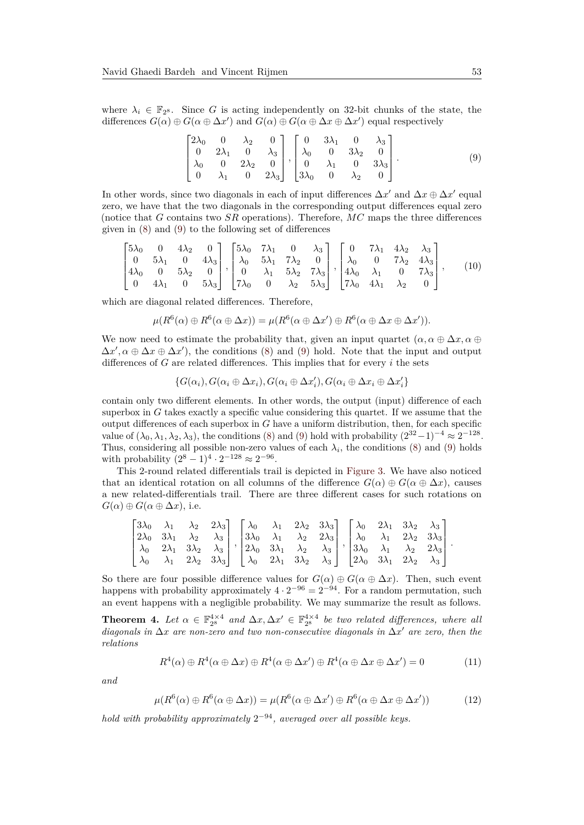where  $\lambda_i \in \mathbb{F}_{2^8}$ . Since *G* is acting independently on 32-bit chunks of the state, the differences  $G(\alpha) \oplus G(\alpha \oplus \Delta x')$  and  $G(\alpha) \oplus G(\alpha \oplus \Delta x \oplus \Delta x')$  equal respectively

<span id="page-10-1"></span><span id="page-10-0"></span>
$$
\begin{bmatrix} 2\lambda_0 & 0 & \lambda_2 & 0 \\ 0 & 2\lambda_1 & 0 & \lambda_3 \\ \lambda_0 & 0 & 2\lambda_2 & 0 \\ 0 & \lambda_1 & 0 & 2\lambda_3 \end{bmatrix}, \begin{bmatrix} 0 & 3\lambda_1 & 0 & \lambda_3 \\ \lambda_0 & 0 & 3\lambda_2 & 0 \\ 0 & \lambda_1 & 0 & 3\lambda_3 \\ 3\lambda_0 & 0 & \lambda_2 & 0 \end{bmatrix}.
$$
 (9)

In other words, since two diagonals in each of input differences  $\Delta x'$  and  $\Delta x \oplus \Delta x'$  equal zero, we have that the two diagonals in the corresponding output differences equal zero (notice that *G* contains two *SR* operations). Therefore, *MC* maps the three differences given in [\(8\)](#page-9-0) and [\(9\)](#page-10-0) to the following set of differences

$$
\begin{bmatrix} 5\lambda_0 & 0 & 4\lambda_2 & 0 \\ 0 & 5\lambda_1 & 0 & 4\lambda_3 \\ 4\lambda_0 & 0 & 5\lambda_2 & 0 \\ 0 & 4\lambda_1 & 0 & 5\lambda_3 \end{bmatrix}, \begin{bmatrix} 5\lambda_0 & 7\lambda_1 & 0 & \lambda_3 \\ \lambda_0 & 5\lambda_1 & 7\lambda_2 & 0 \\ 0 & \lambda_1 & 5\lambda_2 & 7\lambda_3 \\ 7\lambda_0 & 0 & \lambda_2 & 5\lambda_3 \end{bmatrix}, \begin{bmatrix} 0 & 7\lambda_1 & 4\lambda_2 & \lambda_3 \\ \lambda_0 & 0 & 7\lambda_2 & 4\lambda_3 \\ 4\lambda_0 & \lambda_1 & 0 & 7\lambda_3 \\ 7\lambda_0 & 4\lambda_1 & \lambda_2 & 0 \end{bmatrix},
$$
(10)

which are diagonal related differences. Therefore,

$$
\mu(R^{6}(\alpha) \oplus R^{6}(\alpha \oplus \Delta x)) = \mu(R^{6}(\alpha \oplus \Delta x') \oplus R^{6}(\alpha \oplus \Delta x \oplus \Delta x')).
$$

We now need to estimate the probability that, given an input quartet  $(\alpha, \alpha \oplus \Delta x, \alpha \oplus \Delta y)$  $\Delta x'$ ,  $\alpha \oplus \Delta x \oplus \Delta x'$ , the conditions [\(8\)](#page-9-0) and [\(9\)](#page-10-0) hold. Note that the input and output differences of *G* are related differences. This implies that for every *i* the sets

$$
\{G(\alpha_i), G(\alpha_i \oplus \Delta x_i), G(\alpha_i \oplus \Delta x_i'), G(\alpha_i \oplus \Delta x_i \oplus \Delta x_i'\}
$$

contain only two different elements. In other words, the output (input) difference of each superbox in *G* takes exactly a specific value considering this quartet. If we assume that the output differences of each superbox in *G* have a uniform distribution, then, for each specific value of  $(\lambda_0, \lambda_1, \lambda_2, \lambda_3)$ , the conditions [\(8\)](#page-9-0) and [\(9\)](#page-10-0) hold with probability  $(2^{32}-1)^{-4} \approx 2^{-128}$ . Thus, considering all possible non-zero values of each  $\lambda_i$ , the conditions [\(8\)](#page-9-0) and [\(9\)](#page-10-0) holds with probability  $(2^8 - 1)^4 \cdot 2^{-128} \approx 2^{-96}$ .

This 2-round related differentials trail is depicted in [Figure 3.](#page-9-1) We have also noticed that an identical rotation on all columns of the difference  $G(\alpha) \oplus G(\alpha \oplus \Delta x)$ , causes a new related-differentials trail. There are three different cases for such rotations on  $G(\alpha) \oplus G(\alpha \oplus \Delta x)$ , i.e.

$$
\begin{bmatrix} 3\lambda_0 & \lambda_1 & \lambda_2 & 2\lambda_3 \\ 2\lambda_0 & 3\lambda_1 & \lambda_2 & \lambda_3 \\ \lambda_0 & 2\lambda_1 & 3\lambda_2 & \lambda_3 \\ \lambda_0 & \lambda_1 & 2\lambda_2 & 3\lambda_3 \end{bmatrix}, \begin{bmatrix} \lambda_0 & \lambda_1 & 2\lambda_2 & 3\lambda_3 \\ 3\lambda_0 & \lambda_1 & \lambda_2 & 2\lambda_3 \\ 2\lambda_0 & 3\lambda_1 & \lambda_2 & \lambda_3 \\ \lambda_0 & 2\lambda_1 & 3\lambda_2 & \lambda_3 \end{bmatrix}, \begin{bmatrix} \lambda_0 & 2\lambda_1 & 3\lambda_2 & \lambda_3 \\ \lambda_0 & \lambda_1 & 2\lambda_2 & 3\lambda_3 \\ 3\lambda_0 & \lambda_1 & \lambda_2 & 2\lambda_3 \\ 2\lambda_0 & 3\lambda_1 & 2\lambda_2 & \lambda_3 \end{bmatrix}.
$$

So there are four possible difference values for  $G(\alpha) \oplus G(\alpha \oplus \Delta x)$ . Then, such event happens with probability approximately  $4 \cdot 2^{-96} = 2^{-94}$ . For a random permutation, such an event happens with a negligible probability. We may summarize the result as follows.

<span id="page-10-2"></span>**Theorem 4.** Let  $\alpha \in \mathbb{F}_{2^8}^{4 \times 4}$  and  $\Delta x, \Delta x' \in \mathbb{F}_{2^8}^{4 \times 4}$  be two related differences, where all *diagonals in* ∆*x are non-zero and two non-consecutive diagonals in* ∆*x* <sup>0</sup> *are zero, then the relations*

$$
R^{4}(\alpha) \oplus R^{4}(\alpha \oplus \Delta x) \oplus R^{4}(\alpha \oplus \Delta x') \oplus R^{4}(\alpha \oplus \Delta x \oplus \Delta x') = 0 \qquad (11)
$$

*and*

$$
\mu(R^{6}(\alpha) \oplus R^{6}(\alpha \oplus \Delta x)) = \mu(R^{6}(\alpha \oplus \Delta x') \oplus R^{6}(\alpha \oplus \Delta x \oplus \Delta x')) \tag{12}
$$

*hold with probability approximately* 2 <sup>−</sup><sup>94</sup>*, averaged over all possible keys.*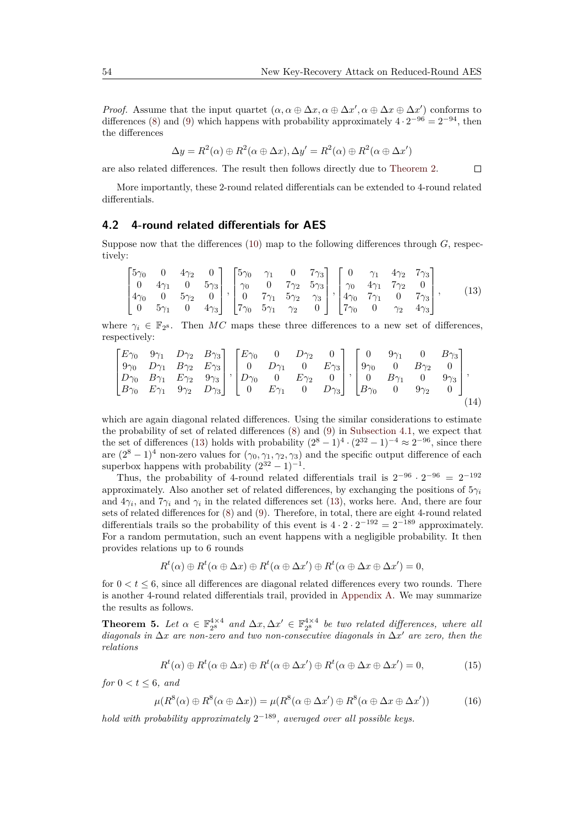*Proof.* Assume that the input quartet  $(\alpha, \alpha \oplus \Delta x, \alpha \oplus \Delta x', \alpha \oplus \Delta x \oplus \Delta x')$  conforms to differences [\(8\)](#page-9-0) and [\(9\)](#page-10-0) which happens with probability approximately  $4 \cdot 2^{-96} = 2^{-94}$ , then the differences

$$
\Delta y = R^2(\alpha) \oplus R^2(\alpha \oplus \Delta x), \Delta y' = R^2(\alpha) \oplus R^2(\alpha \oplus \Delta x')
$$

are also related differences. The result then follows directly due to [Theorem 2.](#page-5-1)

<span id="page-11-3"></span><span id="page-11-0"></span> $\Box$ 

More importantly, these 2-round related differentials can be extended to 4-round related differentials.

#### **4.2 4-round related differentials for AES**

Suppose now that the differences [\(10\)](#page-10-1) map to the following differences through *G*, respectively:

$$
\begin{bmatrix} 5\gamma_0 & 0 & 4\gamma_2 & 0 \\ 0 & 4\gamma_1 & 0 & 5\gamma_3 \\ 4\gamma_0 & 0 & 5\gamma_2 & 0 \\ 0 & 5\gamma_1 & 0 & 4\gamma_3 \end{bmatrix}, \begin{bmatrix} 5\gamma_0 & \gamma_1 & 0 & 7\gamma_3 \\ \gamma_0 & 0 & 7\gamma_2 & 5\gamma_3 \\ 0 & 7\gamma_1 & 5\gamma_2 & \gamma_3 \\ 7\gamma_0 & 5\gamma_1 & \gamma_2 & 0 \end{bmatrix}, \begin{bmatrix} 0 & \gamma_1 & 4\gamma_2 & 7\gamma_3 \\ \gamma_0 & 4\gamma_1 & 7\gamma_2 & 0 \\ 4\gamma_0 & 7\gamma_1 & 0 & 7\gamma_3 \\ 7\gamma_0 & 0 & \gamma_2 & 4\gamma_3 \end{bmatrix},
$$
(13)

where  $\gamma_i \in \mathbb{F}_{2^8}$ . Then MC maps these three differences to a new set of differences, respectively:

$$
\begin{bmatrix}\nE\gamma_0 & 9\gamma_1 & D\gamma_2 & B\gamma_3 \\
9\gamma_0 & D\gamma_1 & B\gamma_2 & E\gamma_3 \\
D\gamma_0 & B\gamma_1 & E\gamma_2 & 9\gamma_3 \\
B\gamma_0 & E\gamma_1 & 9\gamma_2 & D\gamma_3\n\end{bmatrix}, \begin{bmatrix}\nE\gamma_0 & 0 & D\gamma_2 & 0 \\
0 & D\gamma_1 & 0 & E\gamma_3 \\
D\gamma_0 & 0 & E\gamma_2 & 0 \\
0 & E\gamma_1 & 0 & D\gamma_3\n\end{bmatrix}, \begin{bmatrix}\n0 & 9\gamma_1 & 0 & B\gamma_3 \\
9\gamma_0 & 0 & B\gamma_2 & 0 \\
0 & B\gamma_1 & 0 & 9\gamma_3 \\
B\gamma_0 & 0 & 9\gamma_2 & 0\n\end{bmatrix},
$$
\n(14)

which are again diagonal related differences. Using the similar considerations to estimate the probability of set of related differences [\(8\)](#page-9-0) and [\(9\)](#page-10-0) in [Subsection 4.1,](#page-9-2) we expect that the set of differences [\(13\)](#page-11-0) holds with probability  $(2^8 - 1)^4 \cdot (2^{32} - 1)^{-4} \approx 2^{-96}$ , since there are  $(2^8 - 1)^4$  non-zero values for  $(\gamma_0, \gamma_1, \gamma_2, \gamma_3)$  and the specific output difference of each superbox happens with probability  $(2^{32} – 1)^{-1}$ .

Thus, the probability of 4-round related differentials trail is  $2^{-96} \cdot 2^{-96} = 2^{-192}$ approximately. Also another set of related differences, by exchanging the positions of 5*γ<sup>i</sup>* and  $4\gamma_i$ , and  $7\gamma_i$  and  $\gamma_i$  in the related differences set [\(13\)](#page-11-0), works here. And, there are four sets of related differences for [\(8\)](#page-9-0) and [\(9\)](#page-10-0). Therefore, in total, there are eight 4-round related differentials trails so the probability of this event is  $4 \cdot 2 \cdot 2^{-192} = 2^{-189}$  approximately. For a random permutation, such an event happens with a negligible probability. It then provides relations up to 6 rounds

$$
R^t(\alpha) \oplus R^t(\alpha \oplus \Delta x) \oplus R^t(\alpha \oplus \Delta x') \oplus R^t(\alpha \oplus \Delta x \oplus \Delta x') = 0,
$$

for  $0 < t \leq 6$ , since all differences are diagonal related differences every two rounds. There is another 4-round related differentials trail, provided in [Appendix A.](#page-18-6) We may summarize the results as follows.

<span id="page-11-2"></span>**Theorem 5.** Let  $\alpha \in \mathbb{F}_{2^8}^{4 \times 4}$  and  $\Delta x, \Delta x' \in \mathbb{F}_{2^8}^{4 \times 4}$  be two related differences, where all *diagonals in* ∆*x are non-zero and two non-consecutive diagonals in* ∆*x* <sup>0</sup> *are zero, then the relations*

<span id="page-11-1"></span>
$$
R^{t}(\alpha) \oplus R^{t}(\alpha \oplus \Delta x) \oplus R^{t}(\alpha \oplus \Delta x') \oplus R^{t}(\alpha \oplus \Delta x \oplus \Delta x') = 0,
$$
\n(15)

*for*  $0 < t \leq 6$ *, and* 

$$
\mu(R^{8}(\alpha) \oplus R^{8}(\alpha \oplus \Delta x)) = \mu(R^{8}(\alpha \oplus \Delta x') \oplus R^{8}(\alpha \oplus \Delta x \oplus \Delta x')) \tag{16}
$$

*hold with probability approximately* 2 <sup>−</sup><sup>189</sup>*, averaged over all possible keys.*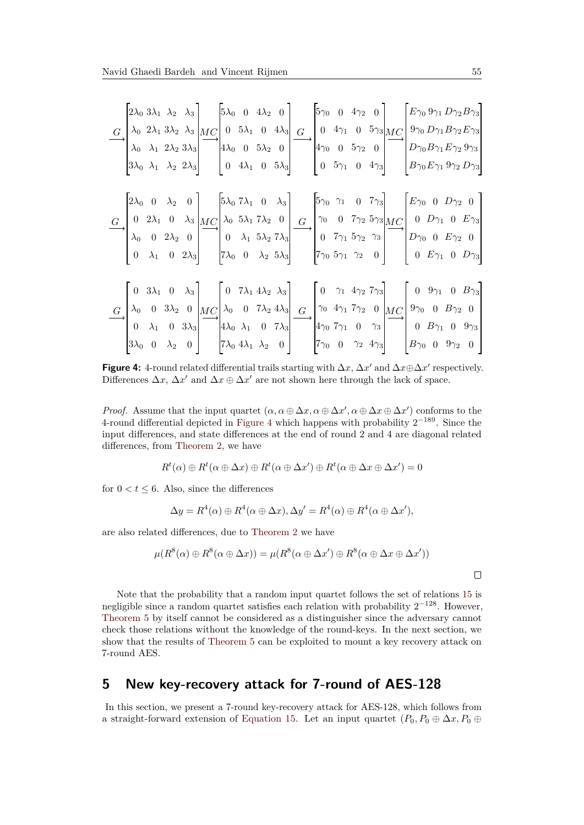<span id="page-12-1"></span>
$$
\frac{G}{\text{A}_{0}}\begin{bmatrix} 2\lambda_{0} & 3\lambda_{1} & \lambda_{2} & \lambda_{3} \\ \lambda_{0} & 2\lambda_{1} & 3\lambda_{2} & \lambda_{3} \\ \lambda_{0} & \lambda_{1} & 2\lambda_{2} & 3\lambda_{3} \\ 3\lambda_{0} & \lambda_{1} & \lambda_{2} & 2\lambda_{3} \end{bmatrix} \begin{bmatrix} 5\lambda_{0} & 0 & 4\lambda_{2} & 0 \\ 0 & 5\lambda_{1} & 0 & 4\lambda_{3} \\ 4\lambda_{0} & 0 & 5\lambda_{2} & 0 \\ 0 & 4\lambda_{1} & 0 & 5\lambda_{3} \end{bmatrix} \begin{bmatrix} 5\gamma_{0} & 0 & 4\gamma_{2} & 0 \\ 0 & 4\gamma_{1} & 0 & 5\gamma_{3} \\ 4\gamma_{0} & 0 & 5\gamma_{2} & 0 \\ 0 & 5\gamma_{1} & 0 & 4\gamma_{3} \end{bmatrix} \begin{bmatrix} E\gamma_{0} & 9\gamma_{1}D\gamma_{2}B\gamma_{3} \\ 0\gamma_{0}D\gamma_{1}B\gamma_{2}E\gamma_{3} \\ 0\gamma_{0}B\gamma_{1}E\gamma_{2}9\gamma_{3} \\ 0\gamma_{0}B\gamma_{1}E\gamma_{2}9\gamma_{3} \\ 0\gamma_{0}B\gamma_{1}B\gamma_{2}9\gamma_{3} \end{bmatrix}
$$

$$
\frac{G}{\lambda_{0}} \begin{bmatrix} 2\lambda_{0} & 0 & \lambda_{2} & 0 \\ 0 & 2\lambda_{1} & 0 & \lambda_{3} \\ 0 & 0 & 2\lambda_{2} & 0 \\ 0 & \lambda_{1} & 0 & 2\lambda_{3} \end{bmatrix} \begin{bmatrix} 5\lambda_{0} & 7\lambda_{1} & 0 & \lambda_{3} \\ \lambda_{0} & 5\lambda_{1} & 7\lambda_{2} & 0 \\ 0 & \lambda_{1} & 5\lambda_{2} & 7\lambda_{3} \\ 7\lambda_{0} & 0 & \lambda_{2} & 5\lambda_{3} \end{bmatrix} \begin{bmatrix} 5\gamma_{0} & 0 & 4\gamma_{2} & 0 \\ 0 & 0 & 7\gamma_{2} & 5\gamma_{3} \\ 0 & 0 & 7\gamma_{2} & 5\gamma_{3
$$

**Figure 4:** 4-round related differential trails starting with  $\Delta x$ ,  $\Delta x'$  and  $\Delta x \oplus \Delta x'$  respectively. Differences  $\Delta x$ ,  $\Delta x'$  and  $\Delta x \oplus \Delta x'$  are not shown here through the lack of space.

*Proof.* Assume that the input quartet  $(\alpha, \alpha \oplus \Delta x, \alpha \oplus \Delta x', \alpha \oplus \Delta x \oplus \Delta x')$  conforms to the 4-round differential depicted in [Figure 4](#page-12-1) which happens with probability  $2^{-189}$ . Since the input differences, and state differences at the end of round 2 and 4 are diagonal related differences, from [Theorem 2,](#page-5-1) we have

$$
R^t(\alpha) \oplus R^t(\alpha \oplus \Delta x) \oplus R^t(\alpha \oplus \Delta x') \oplus R^t(\alpha \oplus \Delta x \oplus \Delta x') = 0
$$

for  $0 < t < 6$ . Also, since the differences

$$
\Delta y = R^4(\alpha) \oplus R^4(\alpha \oplus \Delta x), \Delta y' = R^4(\alpha) \oplus R^4(\alpha \oplus \Delta x'),
$$

are also related differences, due to [Theorem 2](#page-5-1) we have

$$
\mu(R^{8}(\alpha) \oplus R^{8}(\alpha \oplus \Delta x)) = \mu(R^{8}(\alpha \oplus \Delta x') \oplus R^{8}(\alpha \oplus \Delta x \oplus \Delta x'))
$$

Note that the probability that a random input quartet follows the set of relations [15](#page-11-1) is negligible since a random quartet satisfies each relation with probability  $2^{-128}$ . However, [Theorem 5](#page-11-2) by itself cannot be considered as a distinguisher since the adversary cannot check those relations without the knowledge of the round-keys. In the next section, we show that the results of [Theorem 5](#page-11-2) can be exploited to mount a key recovery attack on 7-round AES.

### <span id="page-12-0"></span>**5 New key-recovery attack for 7-round of AES-128**

In this section, we present a 7-round key-recovery attack for AES-128, which follows from a straight-forward extension of [Equation 15.](#page-11-1) Let an input quartet  $(P_0, P_0 \oplus \Delta x, P_0 \oplus \Delta y)$ 

 $\Box$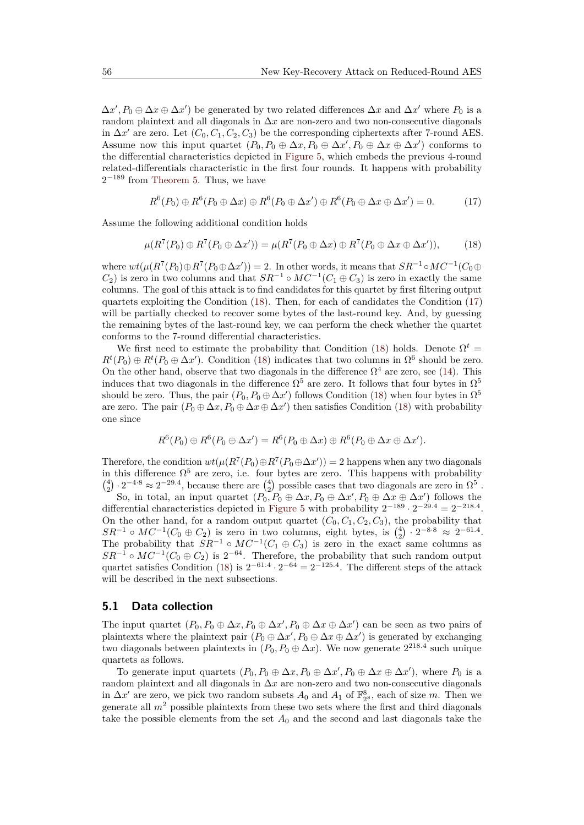$\Delta x', P_0 \oplus \Delta x \oplus \Delta x'$  be generated by two related differences  $\Delta x$  and  $\Delta x'$  where  $P_0$  is a random plaintext and all diagonals in ∆*x* are non-zero and two non-consecutive diagonals in  $\Delta x'$  are zero. Let  $(C_0, C_1, C_2, C_3)$  be the corresponding ciphertexts after 7-round AES. Assume now this input quartet  $(P_0, P_0 \oplus \Delta x, P_0 \oplus \Delta x', P_0 \oplus \Delta x \oplus \Delta x')$  conforms to the differential characteristics depicted in [Figure 5,](#page-14-0) which embeds the previous 4-round related-differentials characteristic in the first four rounds. It happens with probability  $2^{-189}$  from [Theorem 5.](#page-11-2) Thus, we have

<span id="page-13-1"></span><span id="page-13-0"></span>
$$
R^{6}(P_0) \oplus R^{6}(P_0 \oplus \Delta x) \oplus R^{6}(P_0 \oplus \Delta x') \oplus R^{6}(P_0 \oplus \Delta x \oplus \Delta x') = 0.
$$
 (17)

Assume the following additional condition holds

$$
\mu(R^7(P_0) \oplus R^7(P_0 \oplus \Delta x')) = \mu(R^7(P_0 \oplus \Delta x) \oplus R^7(P_0 \oplus \Delta x \oplus \Delta x')), \tag{18}
$$

where  $wt(\mu(R^7(P_0)\oplus R^7(P_0\oplus \Delta x'))=2$ . In other words, it means that  $SR^{-1} \circ MC^{-1}(C_0\oplus$  $C_2$ ) is zero in two columns and that  $SR^{-1} \circ MC^{-1}(C_1 \oplus C_3)$  is zero in exactly the same columns. The goal of this attack is to find candidates for this quartet by first filtering output quartets exploiting the Condition [\(18\)](#page-13-0). Then, for each of candidates the Condition [\(17\)](#page-13-1) will be partially checked to recover some bytes of the last-round key. And, by guessing the remaining bytes of the last-round key, we can perform the check whether the quartet conforms to the 7-round differential characteristics.

We first need to estimate the probability that Condition [\(18\)](#page-13-0) holds. Denote  $\Omega^t$  =  $R^t(P_0) \oplus R^t(P_0 \oplus \Delta x')$ . Condition [\(18\)](#page-13-0) indicates that two columns in  $\Omega^6$  should be zero. On the other hand, observe that two diagonals in the difference  $\Omega^4$  are zero, see [\(14\)](#page-11-3). This induces that two diagonals in the difference  $\Omega^5$  are zero. It follows that four bytes in  $\Omega^5$ should be zero. Thus, the pair  $(P_0, P_0 \oplus \Delta x')$  follows Condition [\(18\)](#page-13-0) when four bytes in  $\Omega^5$ are zero. The pair  $(P_0 \oplus \Delta x, P_0 \oplus \Delta x \oplus \Delta x')$  then satisfies Condition [\(18\)](#page-13-0) with probability one since

$$
R^{6}(P_0) \oplus R^{6}(P_0 \oplus \Delta x') = R^{6}(P_0 \oplus \Delta x) \oplus R^{6}(P_0 \oplus \Delta x \oplus \Delta x').
$$

Therefore, the condition  $wt(\mu(R^7(P_0)\oplus R^7(P_0\oplus \Delta x'))=2$  happens when any two diagonals in this difference  $\Omega^5$  are zero, i.e. four bytes are zero. This happens with probability  $\binom{4}{2} \cdot 2^{-4.8} \approx 2^{-29.4}$ , because there are  $\binom{4}{2}$  possible cases that two diagonals are zero in  $\Omega^5$ .

So, in total, an input quartet  $(P_0, P_0 \oplus \Delta x, P_0 \oplus \Delta x', P_0 \oplus \Delta x \oplus \Delta x')$  follows the differential characteristics depicted in [Figure 5](#page-14-0) with probability  $2^{-189} \cdot 2^{-29.4} = 2^{-218.4}$ . On the other hand, for a random output quartet  $(C_0, C_1, C_2, C_3)$ , the probability that  $SR^{-1} \circ MC^{-1}(C_0 \oplus C_2)$  is zero in two columns, eight bytes, is  $\binom{4}{2} \cdot 2^{-8 \cdot 8} \approx 2^{-61.4}$ .  $2R^2$   $\sim$   $2R^2$   $\sim$   $2R^2$   $\sim$   $2R^2$   $\sim$   $2R^2$   $\sim$   $2R^2$   $\sim$   $2R^2$   $\sim$   $2R^2$   $\sim$   $2R^2$   $\sim$   $2R^2$   $\sim$   $2R^2$   $\sim$   $2R^2$   $\sim$   $2R^2$   $\sim$   $2R^2$   $\sim$   $2R^2$   $\sim$   $2R^2$   $\sim$   $2R^2$   $\sim$   $2R^2$   $\sim$   $2R^2$  $SR^{-1} \circ MC^{-1}(C_0 \oplus C_2)$  is  $2^{-64}$ . Therefore, the probability that such random output quartet satisfies Condition [\(18\)](#page-13-0) is  $2^{-61.4} \cdot 2^{-64} = 2^{-125.4}$ . The different steps of the attack will be described in the next subsections.

#### <span id="page-13-2"></span>**5.1 Data collection**

The input quartet  $(P_0, P_0 \oplus \Delta x, P_0 \oplus \Delta x', P_0 \oplus \Delta x \oplus \Delta x')$  can be seen as two pairs of plaintexts where the plaintext pair  $(P_0 \oplus \Delta x', P_0 \oplus \Delta x \oplus \Delta x')$  is generated by exchanging two diagonals between plaintexts in  $(P_0, P_0 \oplus \Delta x)$ . We now generate  $2^{218.4}$  such unique quartets as follows.

To generate input quartets  $(P_0, P_0 \oplus \Delta x, P_0 \oplus \Delta x', P_0 \oplus \Delta x \oplus \Delta x')$ , where  $P_0$  is a random plaintext and all diagonals in ∆*x* are non-zero and two non-consecutive diagonals in  $\Delta x'$  are zero, we pick two random subsets  $A_0$  and  $A_1$  of  $\mathbb{F}_2^8$ , each of size *m*. Then we generate all  $m<sup>2</sup>$  possible plaintexts from these two sets where the first and third diagonals take the possible elements from the set  $A_0$  and the second and last diagonals take the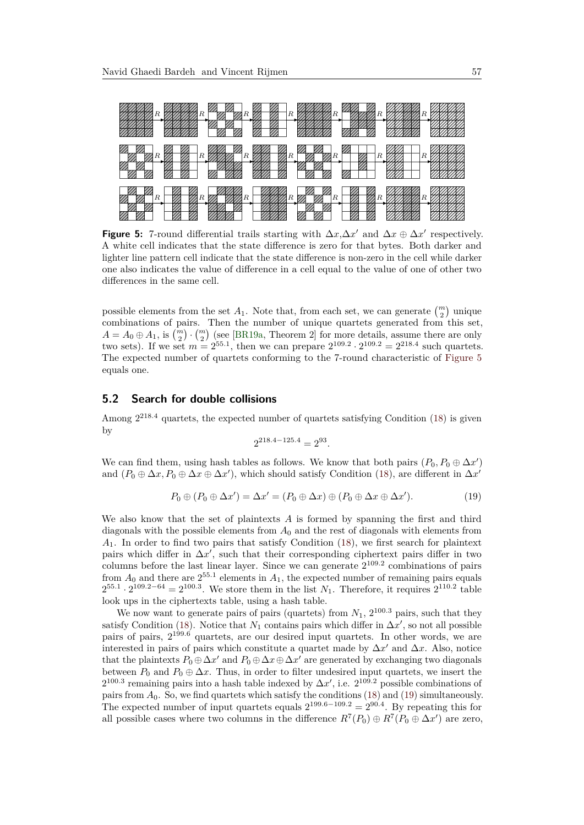<span id="page-14-0"></span>

**Figure 5:** 7-round differential trails starting with  $\Delta x, \Delta x'$  and  $\Delta x \oplus \Delta x'$  respectively. A white cell indicates that the state difference is zero for that bytes. Both darker and lighter line pattern cell indicate that the state difference is non-zero in the cell while darker one also indicates the value of difference in a cell equal to the value of one of other two differences in the same cell.

possible elements from the set  $A_1$ . Note that, from each set, we can generate  $\binom{m}{2}$  unique combinations of pairs. Then the number of unique quartets generated from this set,  $A = A_0 \oplus A_1$ , is  $\binom{m}{2} \cdot \binom{m}{2}$  (see [\[BR19a,](#page-17-4) Theorem 2] for more details, assume there are only two sets). If we set  $m = 2^{55.1}$ , then we can prepare  $2^{109.2} \cdot 2^{109.2} = 2^{218.4}$  such quartets. The expected number of quartets conforming to the 7-round characteristic of [Figure 5](#page-14-0) equals one.

#### <span id="page-14-2"></span>**5.2 Search for double collisions**

Among  $2^{218.4}$  quartets, the expected number of quartets satisfying Condition [\(18\)](#page-13-0) is given by

$$
2^{218.4 - 125.4} = 2^{93}.
$$

We can find them, using hash tables as follows. We know that both pairs  $(P_0, P_0 \oplus \Delta x')$ and  $(P_0 \oplus \Delta x, P_0 \oplus \Delta x \oplus \Delta x')$ , which should satisfy Condition [\(18\)](#page-13-0), are different in  $\Delta x'$ 

<span id="page-14-1"></span>
$$
P_0 \oplus (P_0 \oplus \Delta x') = \Delta x' = (P_0 \oplus \Delta x) \oplus (P_0 \oplus \Delta x \oplus \Delta x'). \tag{19}
$$

We also know that the set of plaintexts *A* is formed by spanning the first and third diagonals with the possible elements from *A*<sup>0</sup> and the rest of diagonals with elements from *A*1. In order to find two pairs that satisfy Condition [\(18\)](#page-13-0), we first search for plaintext pairs which differ in  $\Delta x'$ , such that their corresponding ciphertext pairs differ in two columns before the last linear layer. Since we can generate 2 109*.*2 combinations of pairs from  $A_0$  and there are  $2^{55.1}$  elements in  $A_1$ , the expected number of remaining pairs equals  $2^{55.1} \cdot 2^{109.2 - 64} = 2^{100.3}$ . We store them in the list *N*<sub>1</sub>. Therefore, it requires  $2^{110.2}$  table look ups in the ciphertexts table, using a hash table.

We now want to generate pairs of pairs (quartets) from  $N_1$ ,  $2^{100.3}$  pairs, such that they satisfy Condition [\(18\)](#page-13-0). Notice that  $N_1$  contains pairs which differ in  $\Delta x'$ , so not all possible pairs of pairs, 2 <sup>199</sup>*.*<sup>6</sup> quartets, are our desired input quartets. In other words, we are interested in pairs of pairs which constitute a quartet made by  $\Delta x'$  and  $\Delta x$ . Also, notice that the plaintexts  $P_0 \oplus \Delta x'$  and  $P_0 \oplus \Delta x \oplus \Delta x'$  are generated by exchanging two diagonals between  $P_0$  and  $P_0 \oplus \Delta x$ . Thus, in order to filter undesired input quartets, we insert the  $2^{100.3}$  remaining pairs into a hash table indexed by  $\Delta x'$ , i.e.  $2^{109.2}$  possible combinations of pairs from *A*0. So, we find quartets which satisfy the conditions [\(18\)](#page-13-0) and [\(19\)](#page-14-1) simultaneously. The expected number of input quartets equals  $2^{199.6-109.2} = 2^{90.4}$ . By repeating this for all possible cases where two columns in the difference  $R^7(P_0) \oplus R^7(P_0 \oplus \Delta x')$  are zero,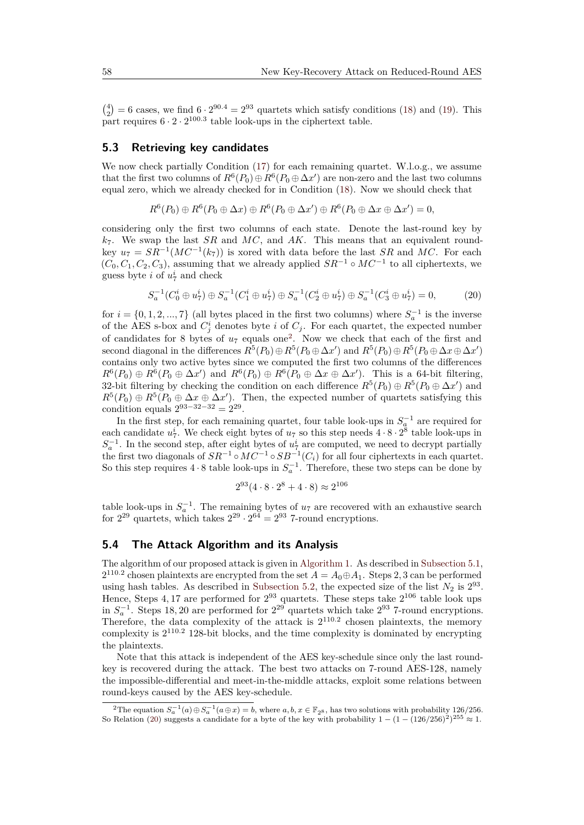$\binom{4}{2}$  = 6 cases, we find 6 · 2<sup>90.4</sup> = 2<sup>93</sup> quartets which satisfy conditions [\(18\)](#page-13-0) and [\(19\)](#page-14-1). This part requires  $6 \cdot 2 \cdot 2^{100.3}$  table look-ups in the ciphertext table.

#### **5.3 Retrieving key candidates**

We now check partially Condition [\(17\)](#page-13-1) for each remaining quartet. W.l.o.g., we assume that the first two columns of  $R^6(P_0) \oplus R^6(P_0 \oplus \Delta x')$  are non-zero and the last two columns equal zero, which we already checked for in Condition [\(18\)](#page-13-0). Now we should check that

$$
R^{6}(P_0) \oplus R^{6}(P_0 \oplus \Delta x) \oplus R^{6}(P_0 \oplus \Delta x') \oplus R^{6}(P_0 \oplus \Delta x \oplus \Delta x') = 0,
$$

considering only the first two columns of each state. Denote the last-round key by *k*7. We swap the last *SR* and *MC*, and *AK*. This means that an equivalent roundkey  $u_7 = SR^{-1}(MC^{-1}(k_7))$  is xored with data before the last *SR* and *MC*. For each  $(C_0, C_1, C_2, C_3)$ , assuming that we already applied  $SR^{-1} \circ MC^{-1}$  to all ciphertexts, we guess byte *i* of  $u_7^i$  and check

$$
S_a^{-1}(C_0^i \oplus u_7^i) \oplus S_a^{-1}(C_1^i \oplus u_7^i) \oplus S_a^{-1}(C_2^i \oplus u_7^i) \oplus S_a^{-1}(C_3^i \oplus u_7^i) = 0, \tag{20}
$$

for  $i = \{0, 1, 2, ..., 7\}$  (all bytes placed in the first two columns) where  $S_a^{-1}$  is the inverse of the AES s-box and  $C_j^i$  denotes byte *i* of  $C_j$ . For each quartet, the expected number of candidates for 8 bytes of  $u_7$  equals one<sup>[2](#page-15-0)</sup>. Now we check that each of the first and second diagonal in the differences  $R^5(P_0) \oplus R^5(P_0 \oplus \Delta x')$  and  $R^5(P_0) \oplus R^5(P_0 \oplus \Delta x \oplus \Delta x')$ contains only two active bytes since we computed the first two columns of the differences  $R^6(P_0) \oplus R^6(P_0 \oplus \Delta x')$  and  $R^6(P_0) \oplus R^6(P_0 \oplus \Delta x \oplus \Delta x')$ . This is a 64-bit filtering, 32-bit filtering by checking the condition on each difference  $R^5(P_0) \oplus R^5(P_0 \oplus \Delta x')$  and  $R^5(P_0) \oplus R^5(P_0 \oplus \Delta x \oplus \Delta x')$ . Then, the expected number of quartets satisfying this condition equals  $2^{93-32-32} = 2^{29}$ .

In the first step, for each remaining quartet, four table look-ups in  $S_a^{-1}$  are required for each candidate  $u^i_7$ . We check eight bytes of  $u_7$  so this step needs  $4 \cdot 8 \cdot 2^8$  table look-ups in  $S_a^{-1}$ . In the second step, after eight bytes of  $u^i_\tau$  are computed, we need to decrypt partially the first two diagonals of  $SR^{-1} \circ MC^{-1} \circ SB^{-1}(C_i)$  for all four ciphertexts in each quartet. So this step requires  $4 \cdot 8$  table look-ups in  $S_a^{-1}$ . Therefore, these two steps can be done by

<span id="page-15-1"></span>
$$
2^{93}(4 \cdot 8 \cdot 2^8 + 4 \cdot 8) \approx 2^{106}
$$

table look-ups in  $S_a^{-1}$ . The remaining bytes of  $u_7$  are recovered with an exhaustive search for  $2^{29}$  quartets, which takes  $2^{29} \cdot 2^{64} = 2^{93}$  7-round encryptions.

### **5.4 The Attack Algorithm and its Analysis**

The algorithm of our proposed attack is given in [Algorithm 1.](#page-16-3) As described in [Subsection 5.1,](#page-13-2)  $2^{110.2}$  chosen plaintexts are encrypted from the set  $A = A_0 \oplus A_1$ . Steps 2, 3 can be performed using hash tables. As described in [Subsection 5.2,](#page-14-2) the expected size of the list  $N_2$  is  $2^{93}$ . Hence, Steps  $4,17$  are performed for  $2^{93}$  quartets. These steps take  $2^{106}$  table look ups in  $S_a^{-1}$ . Steps 18, 20 are performed for  $2^{29}$  quartets which take  $2^{93}$  7-round encryptions. Therefore, the data complexity of the attack is  $2^{110.2}$  chosen plaintexts, the memory complexity is 2 <sup>110</sup>*.*<sup>2</sup> 128-bit blocks, and the time complexity is dominated by encrypting the plaintexts.

Note that this attack is independent of the AES key-schedule since only the last roundkey is recovered during the attack. The best two attacks on 7-round AES-128, namely the impossible-differential and meet-in-the-middle attacks, exploit some relations between round-keys caused by the AES key-schedule.

<span id="page-15-0"></span><sup>&</sup>lt;sup>2</sup>The equation  $S_a^{-1}(a) \oplus S_a^{-1}(a \oplus x) = b$ , where  $a, b, x \in \mathbb{F}_{2^8}$ , has two solutions with probability 126*/*256. So Relation [\(20\)](#page-15-1) suggests a candidate for a byte of the key with probability  $1 - (1 - (126/256)^2)^{255} \approx 1$ .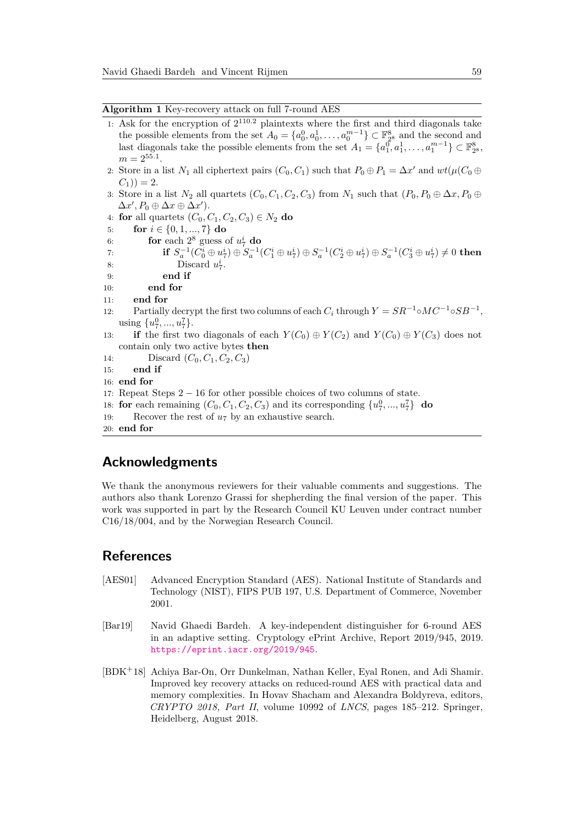<span id="page-16-3"></span>**Algorithm 1** Key-recovery attack on full 7-round AES

- 1: Ask for the encryption of 2 <sup>110</sup>*.*<sup>2</sup> plaintexts where the first and third diagonals take the possible elements from the set  $A_0 = \{a_0^0, a_0^1, \ldots, a_0^{m-1}\} \subset \mathbb{F}_{2^8}^8$  and the second and last diagonals take the possible elements from the set  $A_1 = \{a_1^0, a_1^1, \ldots, a_1^{m-1}\} \subset \mathbb{F}_{2^8}^8$ ,  $m = 2^{55.1}$ .
- 2: Store in a list  $N_1$  all ciphertext pairs  $(C_0, C_1)$  such that  $P_0 \oplus P_1 = \Delta x'$  and  $wt(\mu(C_0 \oplus$  $(C_1)$ ) = 2.
- 3: Store in a list  $N_2$  all quartets  $(C_0, C_1, C_2, C_3)$  from  $N_1$  such that  $(P_0, P_0 \oplus \Delta x, P_0 \oplus \Delta y)$  $\Delta x', P_0 \oplus \Delta x \oplus \Delta x'$ ).
- 4: **for** all quartets  $(C_0, C_1, C_2, C_3) \in N_2$  **do**
- 5: **for**  $i \in \{0, 1, ..., 7\}$  do
- 6: **for** each  $2^8$  guess of  $u^i_7$  **do**
- 7:  $\qquad \qquad \text{if}\ \ S_a^{-1}(C_0^i\oplus u_7^i)\oplus S_a^{-1}(C_1^i\oplus u_7^i)\oplus S_a^{-1}(C_2^i\oplus u_7^i)\oplus S_a^{-1}(C_3^i\oplus u_7^i)\neq 0 \ \text{then}$ 8: Discard  $u_7^i$ .
- 9: **end if**
- 10: **end for**
- 11: **end for**
- 12: Partially decrypt the first two columns of each  $C_i$  through  $Y = SR^{-1} \circ MC^{-1} \circ SB^{-1}$ , using  $\{u_7^0, ..., u_7^7\}$ .
- 13: **if** the first two diagonals of each  $Y(C_0) \oplus Y(C_2)$  and  $Y(C_0) \oplus Y(C_3)$  does not contain only two active bytes **then**
- 14: Discard  $(C_0, C_1, C_2, C_3)$
- 15: **end if**
- 16: **end for**
- 17: Repeat Steps  $2 16$  for other possible choices of two columns of state.
- 18: **for** each remaining  $(C_0, C_1, C_2, C_3)$  and its corresponding  $\{u_7^0, ..., u_7^7\}$  **do**
- 19: Recover the rest of *u*<sup>7</sup> by an exhaustive search.
- 20: **end for**

### **Acknowledgments**

We thank the anonymous reviewers for their valuable comments and suggestions. The authors also thank Lorenzo Grassi for shepherding the final version of the paper. This work was supported in part by the Research Council KU Leuven under contract number C16*/*18*/*004, and by the Norwegian Research Council.

### **References**

- <span id="page-16-2"></span>[AES01] Advanced Encryption Standard (AES). National Institute of Standards and Technology (NIST), FIPS PUB 197, U.S. Department of Commerce, November 2001.
- <span id="page-16-0"></span>[Bar19] Navid Ghaedi Bardeh. A key-independent distinguisher for 6-round AES in an adaptive setting. Cryptology ePrint Archive, Report 2019/945, 2019. <https://eprint.iacr.org/2019/945>.
- <span id="page-16-1"></span>[BDK<sup>+</sup>18] Achiya Bar-On, Orr Dunkelman, Nathan Keller, Eyal Ronen, and Adi Shamir. Improved key recovery attacks on reduced-round AES with practical data and memory complexities. In Hovav Shacham and Alexandra Boldyreva, editors, *CRYPTO 2018, Part II*, volume 10992 of *LNCS*, pages 185–212. Springer, Heidelberg, August 2018.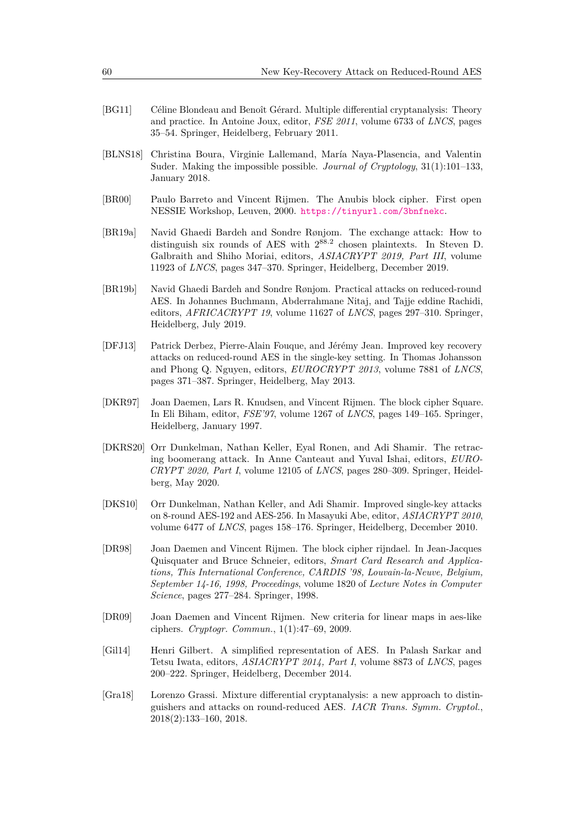- <span id="page-17-8"></span>[BG11] Céline Blondeau and Benoît Gérard. Multiple differential cryptanalysis: Theory and practice. In Antoine Joux, editor, *FSE 2011*, volume 6733 of *LNCS*, pages 35–54. Springer, Heidelberg, February 2011.
- <span id="page-17-10"></span>[BLNS18] Christina Boura, Virginie Lallemand, María Naya-Plasencia, and Valentin Suder. Making the impossible possible. *Journal of Cryptology*, 31(1):101–133, January 2018.
- <span id="page-17-11"></span>[BR00] Paulo Barreto and Vincent Rijmen. The Anubis block cipher. First open NESSIE Workshop, Leuven, 2000. <https://tinyurl.com/3bnfnekc>.
- <span id="page-17-4"></span>[BR19a] Navid Ghaedi Bardeh and Sondre Rønjom. The exchange attack: How to distinguish six rounds of AES with  $2^{88.2}$  chosen plaintexts. In Steven D. Galbraith and Shiho Moriai, editors, *ASIACRYPT 2019, Part III*, volume 11923 of *LNCS*, pages 347–370. Springer, Heidelberg, December 2019.
- <span id="page-17-3"></span>[BR19b] Navid Ghaedi Bardeh and Sondre Rønjom. Practical attacks on reduced-round AES. In Johannes Buchmann, Abderrahmane Nitaj, and Tajje eddine Rachidi, editors, *AFRICACRYPT 19*, volume 11627 of *LNCS*, pages 297–310. Springer, Heidelberg, July 2019.
- <span id="page-17-1"></span>[DFJ13] Patrick Derbez, Pierre-Alain Fouque, and Jérémy Jean. Improved key recovery attacks on reduced-round AES in the single-key setting. In Thomas Johansson and Phong Q. Nguyen, editors, *EUROCRYPT 2013*, volume 7881 of *LNCS*, pages 371–387. Springer, Heidelberg, May 2013.
- <span id="page-17-7"></span>[DKR97] Joan Daemen, Lars R. Knudsen, and Vincent Rijmen. The block cipher Square. In Eli Biham, editor, *FSE'97*, volume 1267 of *LNCS*, pages 149–165. Springer, Heidelberg, January 1997.
- <span id="page-17-5"></span>[DKRS20] Orr Dunkelman, Nathan Keller, Eyal Ronen, and Adi Shamir. The retracing boomerang attack. In Anne Canteaut and Yuval Ishai, editors, *EURO-CRYPT 2020, Part I*, volume 12105 of *LNCS*, pages 280–309. Springer, Heidelberg, May 2020.
- <span id="page-17-9"></span>[DKS10] Orr Dunkelman, Nathan Keller, and Adi Shamir. Improved single-key attacks on 8-round AES-192 and AES-256. In Masayuki Abe, editor, *ASIACRYPT 2010*, volume 6477 of *LNCS*, pages 158–176. Springer, Heidelberg, December 2010.
- <span id="page-17-0"></span>[DR98] Joan Daemen and Vincent Rijmen. The block cipher rijndael. In Jean-Jacques Quisquater and Bruce Schneier, editors, *Smart Card Research and Applications, This International Conference, CARDIS '98, Louvain-la-Neuve, Belgium, September 14-16, 1998, Proceedings*, volume 1820 of *Lecture Notes in Computer Science*, pages 277–284. Springer, 1998.
- <span id="page-17-6"></span>[DR09] Joan Daemen and Vincent Rijmen. New criteria for linear maps in aes-like ciphers. *Cryptogr. Commun.*, 1(1):47–69, 2009.
- <span id="page-17-12"></span>[Gil14] Henri Gilbert. A simplified representation of AES. In Palash Sarkar and Tetsu Iwata, editors, *ASIACRYPT 2014, Part I*, volume 8873 of *LNCS*, pages 200–222. Springer, Heidelberg, December 2014.
- <span id="page-17-2"></span>[Gra18] Lorenzo Grassi. Mixture differential cryptanalysis: a new approach to distinguishers and attacks on round-reduced AES. *IACR Trans. Symm. Cryptol.*, 2018(2):133–160, 2018.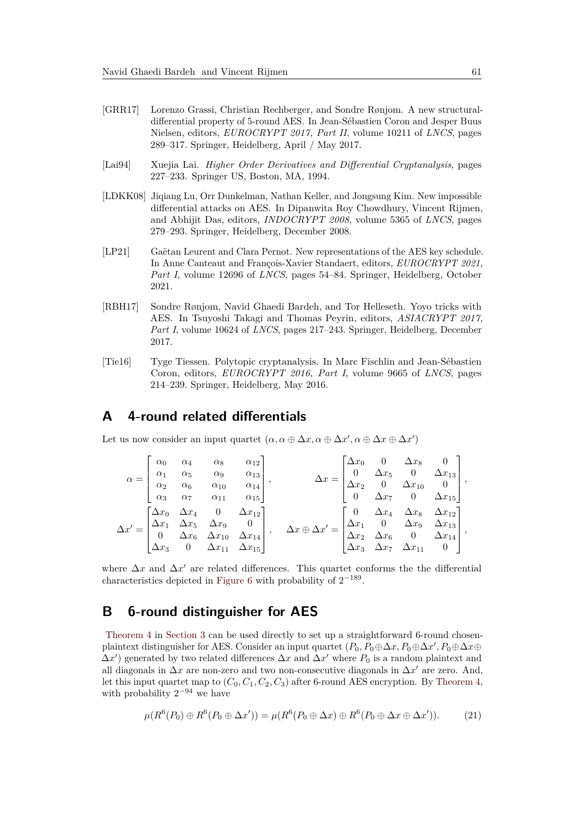- <span id="page-18-1"></span>[GRR17] Lorenzo Grassi, Christian Rechberger, and Sondre Rønjom. A new structuraldifferential property of 5-round AES. In Jean-Sébastien Coron and Jesper Buus Nielsen, editors, *EUROCRYPT 2017, Part II*, volume 10211 of *LNCS*, pages 289–317. Springer, Heidelberg, April / May 2017.
- <span id="page-18-3"></span>[Lai94] Xuejia Lai. *Higher Order Derivatives and Differential Cryptanalysis*, pages 227–233. Springer US, Boston, MA, 1994.
- <span id="page-18-5"></span>[LDKK08] Jiqiang Lu, Orr Dunkelman, Nathan Keller, and Jongsung Kim. New impossible differential attacks on AES. In Dipanwita Roy Chowdhury, Vincent Rijmen, and Abhijit Das, editors, *INDOCRYPT 2008*, volume 5365 of *LNCS*, pages 279–293. Springer, Heidelberg, December 2008.
- <span id="page-18-0"></span>[LP21] Gaëtan Leurent and Clara Pernot. New representations of the AES key schedule. In Anne Canteaut and François-Xavier Standaert, editors, *EUROCRYPT 2021, Part I*, volume 12696 of *LNCS*, pages 54–84. Springer, Heidelberg, October 2021.
- <span id="page-18-2"></span>[RBH17] Sondre Rønjom, Navid Ghaedi Bardeh, and Tor Helleseth. Yoyo tricks with AES. In Tsuyoshi Takagi and Thomas Peyrin, editors, *ASIACRYPT 2017, Part I*, volume 10624 of *LNCS*, pages 217–243. Springer, Heidelberg, December 2017.
- <span id="page-18-4"></span>[Tie16] Tyge Tiessen. Polytopic cryptanalysis. In Marc Fischlin and Jean-Sébastien Coron, editors, *EUROCRYPT 2016, Part I*, volume 9665 of *LNCS*, pages 214–239. Springer, Heidelberg, May 2016.

### <span id="page-18-6"></span>**A 4-round related differentials**

Let us now consider an input quartet  $(\alpha, \alpha \oplus \Delta x, \alpha \oplus \Delta x', \alpha \oplus \Delta x \oplus \Delta x')$ 

$$
\alpha = \begin{bmatrix}\n\alpha_0 & \alpha_4 & \alpha_8 & \alpha_{12} \\
\alpha_1 & \alpha_5 & \alpha_9 & \alpha_{13} \\
\alpha_2 & \alpha_6 & \alpha_{10} & \alpha_{14} \\
\alpha_3 & \alpha_7 & \alpha_{11} & \alpha_{15}\n\end{bmatrix}, \qquad \Delta x = \begin{bmatrix}\n\Delta x_0 & 0 & \Delta x_8 & 0 \\
0 & \Delta x_5 & 0 & \Delta x_{13} \\
\Delta x_2 & 0 & \Delta x_{10} & 0 \\
0 & \Delta x_7 & 0 & \Delta x_{15}\n\end{bmatrix},
$$
\n
$$
\Delta x' = \begin{bmatrix}\n\Delta x_0 & \Delta x_4 & \alpha_8 & \alpha_{12} \\
\Delta x_1 & \Delta x_5 & \Delta x_9 & 0 \\
0 & \Delta x_6 & \Delta x_{10} & \Delta x_{14} \\
\Delta x_3 & 0 & \Delta x_{11} & \Delta x_{15}\n\end{bmatrix}, \qquad \Delta x \oplus \Delta x' = \begin{bmatrix}\n0 & \Delta x_4 & \Delta x_8 & \Delta x_{12} \\
\Delta x_1 & 0 & \Delta x_9 & \Delta x_{13} \\
\Delta x_2 & \Delta x_6 & 0 & \Delta x_{14} \\
\Delta x_3 & \Delta x_7 & \Delta x_{11} & 0\n\end{bmatrix},
$$

where  $\Delta x$  and  $\Delta x'$  are related differences. This quartet conforms the the differential characteristics depicted in [Figure 6](#page-19-0) with probability of  $2^{-189}$ .

### **B 6-round distinguisher for AES**

[Theorem 4](#page-10-2) in [Section 3](#page-5-0) can be used directly to set up a straightforward 6-round chosenplaintext distinguisher for AES. Consider an input quartet  $(P_0, P_0 \oplus \Delta x, P_0 \oplus \Delta x', P_0 \oplus \Delta x \oplus P_0)$  $\Delta x'$ ) generated by two related differences  $\Delta x$  and  $\Delta x'$  where  $P_0$  is a random plaintext and all diagonals in  $\Delta x$  are non-zero and two non-consecutive diagonals in  $\Delta x'$  are zero. And, let this input quartet map to  $(C_0, C_1, C_2, C_3)$  after 6-round AES encryption. By [Theorem 4,](#page-10-2) with probability  $2^{-94}$  we have

<span id="page-18-7"></span>
$$
\mu(R^{6}(P_0) \oplus R^{6}(P_0 \oplus \Delta x')) = \mu(R^{6}(P_0 \oplus \Delta x) \oplus R^{6}(P_0 \oplus \Delta x \oplus \Delta x')).
$$
 (21)